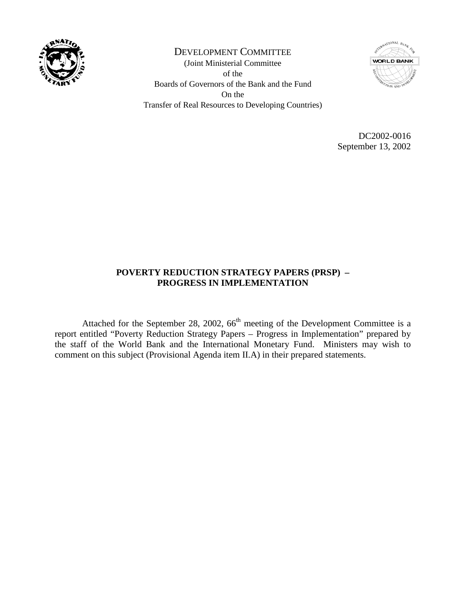

DEVELOPMENT COMMITTEE (Joint Ministerial Committee of the Boards of Governors of the Bank and the Fund On the Transfer of Real Resources to Developing Countries)



DC2002-0016 September 13, 2002

### **POVERTY REDUCTION STRATEGY PAPERS (PRSP) – PROGRESS IN IMPLEMENTATION**

Attached for the September 28, 2002,  $66<sup>th</sup>$  meeting of the Development Committee is a report entitled "Poverty Reduction Strategy Papers – Progress in Implementation" prepared by the staff of the World Bank and the International Monetary Fund. Ministers may wish to comment on this subject (Provisional Agenda item II.A) in their prepared statements.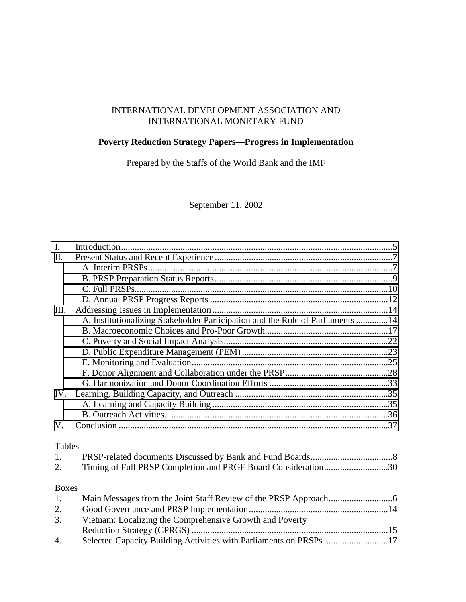### INTERNATIONAL DEVELOPMENT ASSOCIATION AND INTERNATIONAL MONETARY FUND

### **Poverty Reduction Strategy Papers—Progress in Implementation**

Prepared by the Staffs of the World Bank and the IMF

September 11, 2002

| $\mathbf{I}$ .   |                                                                                |  |
|------------------|--------------------------------------------------------------------------------|--|
| II.              |                                                                                |  |
|                  |                                                                                |  |
|                  |                                                                                |  |
|                  |                                                                                |  |
|                  |                                                                                |  |
| III.             |                                                                                |  |
|                  | A. Institutionalizing Stakeholder Participation and the Role of Parliaments 14 |  |
|                  |                                                                                |  |
|                  |                                                                                |  |
|                  |                                                                                |  |
|                  |                                                                                |  |
|                  |                                                                                |  |
|                  |                                                                                |  |
| IV.              |                                                                                |  |
|                  |                                                                                |  |
|                  |                                                                                |  |
| V.               |                                                                                |  |
|                  |                                                                                |  |
| <b>Tables</b>    |                                                                                |  |
| 1.               |                                                                                |  |
| 2.               | Timing of Full PRSP Completion and PRGF Board Consideration30                  |  |
| <b>Boxes</b>     |                                                                                |  |
| 1.               |                                                                                |  |
| 2.               |                                                                                |  |
| 3.               | Vietnam: Localizing the Comprehensive Growth and Poverty                       |  |
|                  |                                                                                |  |
| $\overline{4}$ . | Selected Capacity Building Activities with Parliaments on PRSPs 17             |  |
|                  |                                                                                |  |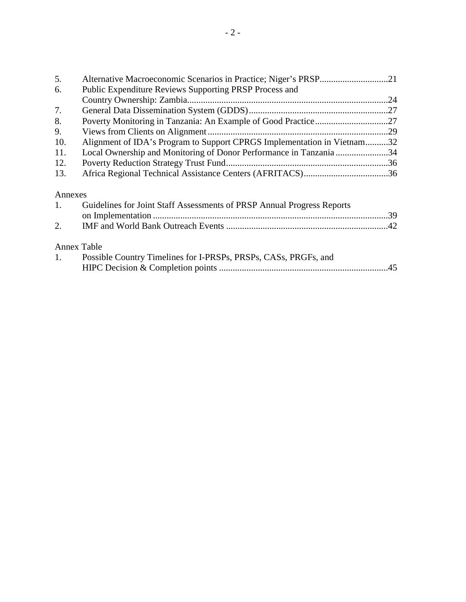| 5.                 |                                                                         |  |
|--------------------|-------------------------------------------------------------------------|--|
| 6.                 | Public Expenditure Reviews Supporting PRSP Process and                  |  |
|                    |                                                                         |  |
| 7.                 |                                                                         |  |
| 8.                 |                                                                         |  |
| 9.                 |                                                                         |  |
| 10.                | Alignment of IDA's Program to Support CPRGS Implementation in Vietnam32 |  |
| 11.                | Local Ownership and Monitoring of Donor Performance in Tanzania 34      |  |
| 12.                |                                                                         |  |
| 13.                |                                                                         |  |
| Annexes            |                                                                         |  |
| 1.                 | Guidelines for Joint Staff Assessments of PRSP Annual Progress Reports  |  |
|                    |                                                                         |  |
| 2.                 |                                                                         |  |
| <b>Annex Table</b> |                                                                         |  |
| 1.                 | Possible Country Timelines for I-PRSPs, PRSPs, CASs, PRGFs, and         |  |
|                    |                                                                         |  |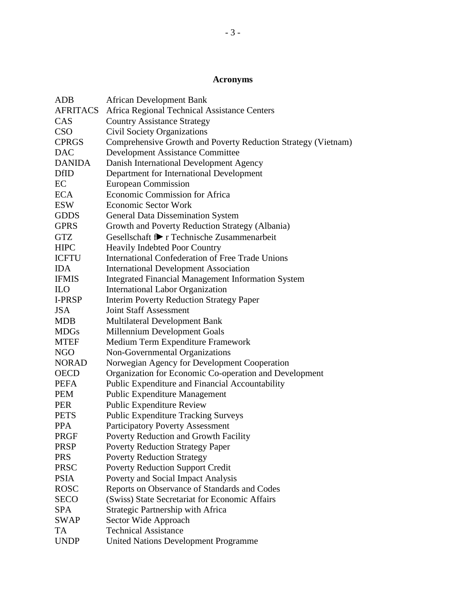# **Acronyms**

| <b>ADB</b>    | <b>African Development Bank</b>                               |
|---------------|---------------------------------------------------------------|
| AFRITACS      | Africa Regional Technical Assistance Centers                  |
| CAS           | <b>Country Assistance Strategy</b>                            |
| <b>CSO</b>    | <b>Civil Society Organizations</b>                            |
| <b>CPRGS</b>  | Comprehensive Growth and Poverty Reduction Strategy (Vietnam) |
| <b>DAC</b>    | <b>Development Assistance Committee</b>                       |
| <b>DANIDA</b> | Danish International Development Agency                       |
| <b>DfID</b>   | Department for International Development                      |
| EC            | <b>European Commission</b>                                    |
| <b>ECA</b>    | Economic Commission for Africa                                |
| <b>ESW</b>    | <b>Economic Sector Work</b>                                   |
| <b>GDDS</b>   | <b>General Data Dissemination System</b>                      |
| <b>GPRS</b>   | Growth and Poverty Reduction Strategy (Albania)               |
| <b>GTZ</b>    | Gesellschaft f! r Technische Zusammenarbeit                   |
| <b>HIPC</b>   | <b>Heavily Indebted Poor Country</b>                          |
| <b>ICFTU</b>  | International Confederation of Free Trade Unions              |
| <b>IDA</b>    | <b>International Development Association</b>                  |
| <b>IFMIS</b>  | <b>Integrated Financial Management Information System</b>     |
| <b>ILO</b>    | <b>International Labor Organization</b>                       |
| I-PRSP        | <b>Interim Poverty Reduction Strategy Paper</b>               |
| <b>JSA</b>    | <b>Joint Staff Assessment</b>                                 |
| <b>MDB</b>    | <b>Multilateral Development Bank</b>                          |
| <b>MDGs</b>   | Millennium Development Goals                                  |
| <b>MTEF</b>   | Medium Term Expenditure Framework                             |
| <b>NGO</b>    | Non-Governmental Organizations                                |
| <b>NORAD</b>  | Norwegian Agency for Development Cooperation                  |
| <b>OECD</b>   | Organization for Economic Co-operation and Development        |
| <b>PEFA</b>   | Public Expenditure and Financial Accountability               |
| <b>PEM</b>    | Public Expenditure Management                                 |
| <b>PER</b>    | <b>Public Expenditure Review</b>                              |
| <b>PETS</b>   | <b>Public Expenditure Tracking Surveys</b>                    |
| <b>PPA</b>    | <b>Participatory Poverty Assessment</b>                       |
| PRGF          | Poverty Reduction and Growth Facility                         |
| <b>PRSP</b>   | <b>Poverty Reduction Strategy Paper</b>                       |
| <b>PRS</b>    | <b>Poverty Reduction Strategy</b>                             |
| <b>PRSC</b>   | <b>Poverty Reduction Support Credit</b>                       |
| <b>PSIA</b>   | Poverty and Social Impact Analysis                            |
| <b>ROSC</b>   | Reports on Observance of Standards and Codes                  |
| <b>SECO</b>   | (Swiss) State Secretariat for Economic Affairs                |
| <b>SPA</b>    | Strategic Partnership with Africa                             |
| <b>SWAP</b>   | Sector Wide Approach                                          |
| TA            | <b>Technical Assistance</b>                                   |
| <b>UNDP</b>   | <b>United Nations Development Programme</b>                   |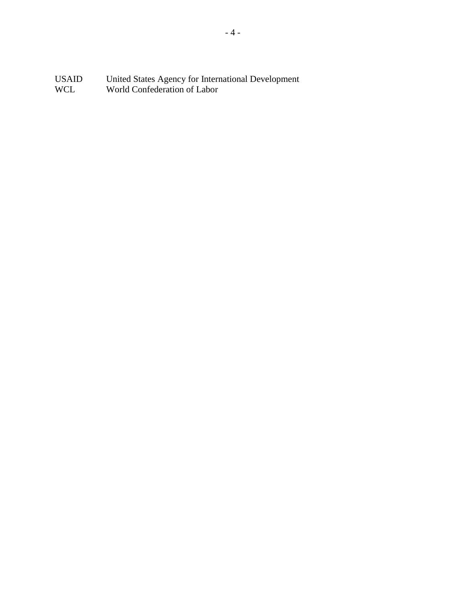USAID United States Agency for International Development WCL World Confederation of Labor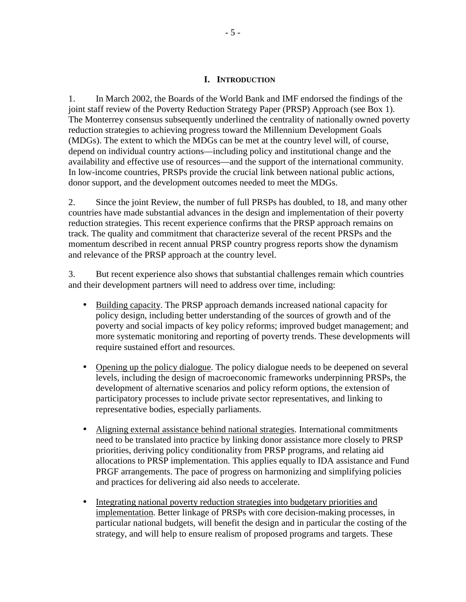#### **I. INTRODUCTION**

<span id="page-5-0"></span>1. In March 2002, the Boards of the World Bank and IMF endorsed the findings of the joint staff review of the Poverty Reduction Strategy Paper (PRSP) Approach (see Box 1). The Monterrey consensus subsequently underlined the centrality of nationally owned poverty reduction strategies to achieving progress toward the Millennium Development Goals (MDGs). The extent to which the MDGs can be met at the country level will, of course, depend on individual country actions—including policy and institutional change and the availability and effective use of resources—and the support of the international community. In low-income countries, PRSPs provide the crucial link between national public actions, donor support, and the development outcomes needed to meet the MDGs.

2. Since the joint Review, the number of full PRSPs has doubled, to 18, and many other countries have made substantial advances in the design and implementation of their poverty reduction strategies. This recent experience confirms that the PRSP approach remains on track. The quality and commitment that characterize several of the recent PRSPs and the momentum described in recent annual PRSP country progress reports show the dynamism and relevance of the PRSP approach at the country level.

3. But recent experience also shows that substantial challenges remain which countries and their development partners will need to address over time, including:

- Building capacity. The PRSP approach demands increased national capacity for policy design, including better understanding of the sources of growth and of the poverty and social impacts of key policy reforms; improved budget management; and more systematic monitoring and reporting of poverty trends. These developments will require sustained effort and resources.
- Opening up the policy dialogue. The policy dialogue needs to be deepened on several levels, including the design of macroeconomic frameworks underpinning PRSPs, the development of alternative scenarios and policy reform options, the extension of participatory processes to include private sector representatives, and linking to representative bodies, especially parliaments.
- Aligning external assistance behind national strategies. International commitments need to be translated into practice by linking donor assistance more closely to PRSP priorities, deriving policy conditionality from PRSP programs, and relating aid allocations to PRSP implementation. This applies equally to IDA assistance and Fund PRGF arrangements. The pace of progress on harmonizing and simplifying policies and practices for delivering aid also needs to accelerate.
- Integrating national poverty reduction strategies into budgetary priorities and implementation. Better linkage of PRSPs with core decision-making processes, in particular national budgets, will benefit the design and in particular the costing of the strategy, and will help to ensure realism of proposed programs and targets. These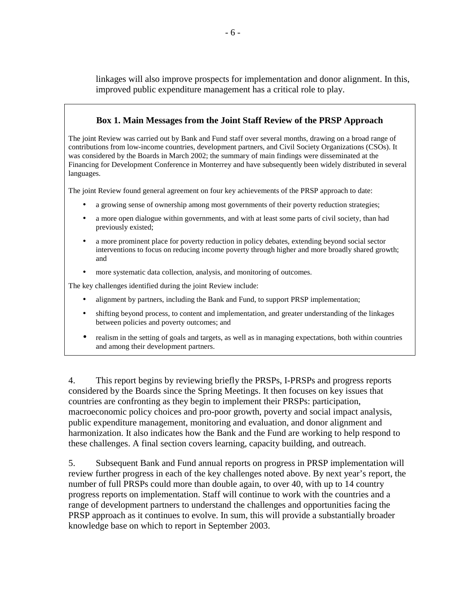linkages will also improve prospects for implementation and donor alignment. In this, improved public expenditure management has a critical role to play.

### **Box 1. Main Messages from the Joint Staff Review of the PRSP Approach**

The joint Review was carried out by Bank and Fund staff over several months, drawing on a broad range of contributions from low-income countries, development partners, and Civil Society Organizations (CSOs). It was considered by the Boards in March 2002; the summary of main findings were disseminated at the Financing for Development Conference in Monterrey and have subsequently been widely distributed in several languages.

The joint Review found general agreement on four key achievements of the PRSP approach to date:

- a growing sense of ownership among most governments of their poverty reduction strategies;
- a more open dialogue within governments, and with at least some parts of civil society, than had previously existed;
- a more prominent place for poverty reduction in policy debates, extending beyond social sector interventions to focus on reducing income poverty through higher and more broadly shared growth; and
- more systematic data collection, analysis, and monitoring of outcomes.

The key challenges identified during the joint Review include:

- alignment by partners, including the Bank and Fund, to support PRSP implementation;
- shifting beyond process, to content and implementation, and greater understanding of the linkages between policies and poverty outcomes; and
- realism in the setting of goals and targets, as well as in managing expectations, both within countries and among their development partners.

4. This report begins by reviewing briefly the PRSPs, I-PRSPs and progress reports considered by the Boards since the Spring Meetings. It then focuses on key issues that countries are confronting as they begin to implement their PRSPs: participation, macroeconomic policy choices and pro-poor growth, poverty and social impact analysis, public expenditure management, monitoring and evaluation, and donor alignment and harmonization. It also indicates how the Bank and the Fund are working to help respond to these challenges. A final section covers learning, capacity building, and outreach.

5. Subsequent Bank and Fund annual reports on progress in PRSP implementation will review further progress in each of the key challenges noted above. By next year's report, the number of full PRSPs could more than double again, to over 40, with up to 14 country progress reports on implementation. Staff will continue to work with the countries and a range of development partners to understand the challenges and opportunities facing the PRSP approach as it continues to evolve. In sum, this will provide a substantially broader knowledge base on which to report in September 2003.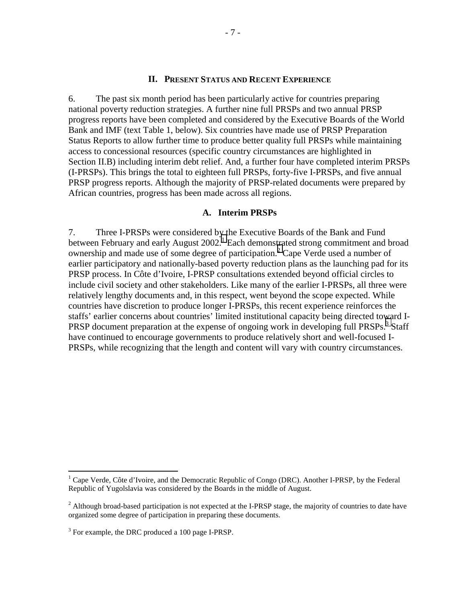#### **II. PRESENT STATUS AND RECENT EXPERIENCE**

<span id="page-7-0"></span>6. The past six month period has been particularly active for countries preparing national poverty reduction strategies. A further nine full PRSPs and two annual PRSP progress reports have been completed and considered by the Executive Boards of the World Bank and IMF (text Table 1, below). Six countries have made use of PRSP Preparation Status Reports to allow further time to produce better quality full PRSPs while maintaining access to concessional resources (specific country circumstances are highlighted in Section II.B) including interim debt relief. And, a further four have completed interim PRSPs (I-PRSPs). This brings the total to eighteen full PRSPs, forty-five I-PRSPs, and five annual PRSP progress reports. Although the majority of PRSP-related documents were prepared by African countries, progress has been made across all regions.

#### **A. Interim PRSPs**

7. Three I-PRSPs were considered by the Executive Boards of the Bank and Fund between February and early August  $2002$ .<sup>1</sup> Each demonstrated strong commitment and broad ownership and made use of some degree of participation.<sup>2</sup> Cape Verde used a number of earlier participatory and nationally-based poverty reduction plans as the launching pad for its PRSP process. In Côte d'Ivoire, I-PRSP consultations extended beyond official circles to include civil society and other stakeholders. Like many of the earlier I-PRSPs, all three were relatively lengthy documents and, in this respect, went beyond the scope expected. While countries have discretion to produce longer I-PRSPs, this recent experience reinforces the staffs' earlier concerns about countries' limited institutional capacity being directed toward I-PRSP document preparation at the expense of ongoing work in developing full PRSPs.<sup>3</sup> Staff have continued to encourage governments to produce relatively short and well-focused I-PRSPs, while recognizing that the length and content will vary with country circumstances.

1

<sup>&</sup>lt;sup>1</sup> Cape Verde, Côte d'Ivoire, and the Democratic Republic of Congo (DRC). Another I-PRSP, by the Federal Republic of Yugolslavia was considered by the Boards in the middle of August.

<sup>&</sup>lt;sup>2</sup> Although broad-based participation is not expected at the I-PRSP stage, the majority of countries to date have organized some degree of participation in preparing these documents.

 $3$  For example, the DRC produced a 100 page I-PRSP.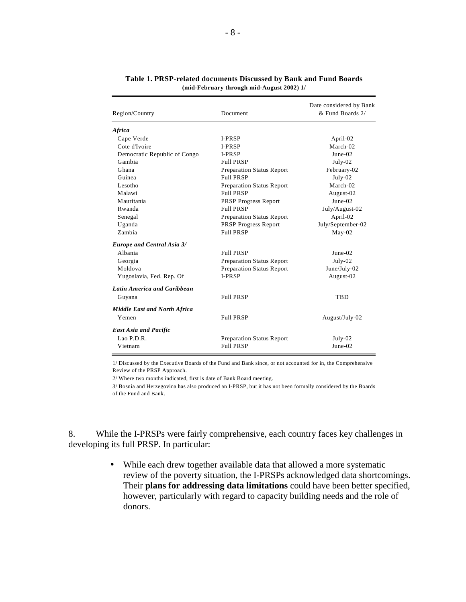| Region/Country                      | Document                         | Date considered by Bank<br>& Fund Boards 2/ |  |
|-------------------------------------|----------------------------------|---------------------------------------------|--|
| <b>Africa</b>                       |                                  |                                             |  |
| Cape Verde                          | <b>I-PRSP</b>                    | April-02                                    |  |
| Cote d'Ivoire                       | <b>I-PRSP</b>                    | March-02                                    |  |
| Democratic Republic of Congo        | <b>I-PRSP</b>                    | $June-02$                                   |  |
| Gambia                              | <b>Full PRSP</b>                 | July-02                                     |  |
| Ghana                               | <b>Preparation Status Report</b> | February-02                                 |  |
| Guinea                              | <b>Full PRSP</b>                 | July-02                                     |  |
| Lesotho                             | <b>Preparation Status Report</b> | March-02                                    |  |
| Malawi                              | <b>Full PRSP</b>                 | August-02                                   |  |
| Mauritania                          | <b>PRSP Progress Report</b>      | $June-02$                                   |  |
| Rwanda                              | <b>Full PRSP</b>                 | July/August-02                              |  |
| Senegal                             | <b>Preparation Status Report</b> | April-02                                    |  |
| Uganda                              | <b>PRSP Progress Report</b>      | July/September-02                           |  |
| Zambia                              | <b>Full PRSP</b>                 | $May-02$                                    |  |
| <b>Europe and Central Asia 3/</b>   |                                  |                                             |  |
| Albania                             | <b>Full PRSP</b>                 | $June-02$                                   |  |
| Georgia                             | <b>Preparation Status Report</b> | July-02                                     |  |
| Moldova                             | <b>Preparation Status Report</b> | June/July-02                                |  |
| Yugoslavia, Fed. Rep. Of            | <b>I-PRSP</b>                    | August-02                                   |  |
| <b>Latin America and Caribbean</b>  |                                  |                                             |  |
| Guyana                              | <b>Full PRSP</b>                 | <b>TBD</b>                                  |  |
| <b>Middle East and North Africa</b> |                                  |                                             |  |
| Yemen                               | <b>Full PRSP</b>                 | August/July-02                              |  |
| <b>East Asia and Pacific</b>        |                                  |                                             |  |
| Lao P.D.R.                          | <b>Preparation Status Report</b> | $July-02$                                   |  |
| Vietnam                             | <b>Full PRSP</b>                 | June-02                                     |  |

#### **Table 1. PRSP-related documents Discussed by Bank and Fund Boards (mid-February through mid-August 2002) 1/**

1/ Discussed by the Executive Boards of the Fund and Bank since, or not accounted for in, the Comprehensive Review of the PRSP Approach.

2/ Where two months indicated, first is date of Bank Board meeting.

3/ Bosnia and Herzegovina has also produced an I-PRSP, but it has not been formally considered by the Boards of the Fund and Bank.

8. While the I-PRSPs were fairly comprehensive, each country faces key challenges in developing its full PRSP. In particular:

> • While each drew together available data that allowed a more systematic review of the poverty situation, the I-PRSPs acknowledged data shortcomings. Their **plans for addressing data limitations** could have been better specified, however, particularly with regard to capacity building needs and the role of donors.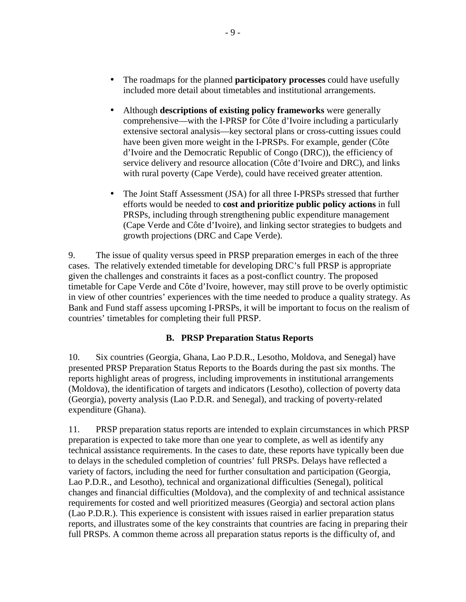- <span id="page-9-0"></span>• The roadmaps for the planned **participatory processes** could have usefully included more detail about timetables and institutional arrangements.
- Although **descriptions of existing policy frameworks** were generally comprehensive—with the I-PRSP for Côte d'Ivoire including a particularly extensive sectoral analysis—key sectoral plans or cross-cutting issues could have been given more weight in the I-PRSPs. For example, gender (Côte d'Ivoire and the Democratic Republic of Congo (DRC)), the efficiency of service delivery and resource allocation (Côte d'Ivoire and DRC), and links with rural poverty (Cape Verde), could have received greater attention.
- The Joint Staff Assessment (JSA) for all three I-PRSPs stressed that further efforts would be needed to **cost and prioritize public policy actions** in full PRSPs, including through strengthening public expenditure management (Cape Verde and Côte d'Ivoire), and linking sector strategies to budgets and growth projections (DRC and Cape Verde).

9. The issue of quality versus speed in PRSP preparation emerges in each of the three cases. The relatively extended timetable for developing DRC's full PRSP is appropriate given the challenges and constraints it faces as a post-conflict country. The proposed timetable for Cape Verde and Côte d'Ivoire, however, may still prove to be overly optimistic in view of other countries' experiences with the time needed to produce a quality strategy. As Bank and Fund staff assess upcoming I-PRSPs, it will be important to focus on the realism of countries' timetables for completing their full PRSP.

### **B. PRSP Preparation Status Reports**

10. Six countries (Georgia, Ghana, Lao P.D.R., Lesotho, Moldova, and Senegal) have presented PRSP Preparation Status Reports to the Boards during the past six months. The reports highlight areas of progress, including improvements in institutional arrangements (Moldova), the identification of targets and indicators (Lesotho), collection of poverty data (Georgia), poverty analysis (Lao P.D.R. and Senegal), and tracking of poverty-related expenditure (Ghana).

11. PRSP preparation status reports are intended to explain circumstances in which PRSP preparation is expected to take more than one year to complete, as well as identify any technical assistance requirements. In the cases to date, these reports have typically been due to delays in the scheduled completion of countries' full PRSPs. Delays have reflected a variety of factors, including the need for further consultation and participation (Georgia, Lao P.D.R., and Lesotho), technical and organizational difficulties (Senegal), political changes and financial difficulties (Moldova), and the complexity of and technical assistance requirements for costed and well prioritized measures (Georgia) and sectoral action plans (Lao P.D.R.). This experience is consistent with issues raised in earlier preparation status reports, and illustrates some of the key constraints that countries are facing in preparing their full PRSPs. A common theme across all preparation status reports is the difficulty of, and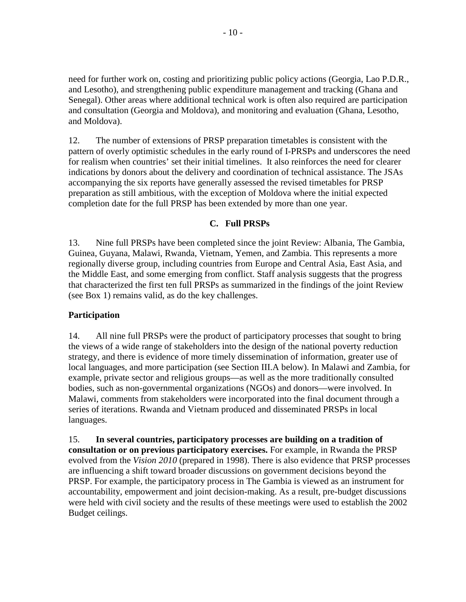<span id="page-10-0"></span>need for further work on, costing and prioritizing public policy actions (Georgia, Lao P.D.R., and Lesotho), and strengthening public expenditure management and tracking (Ghana and Senegal). Other areas where additional technical work is often also required are participation and consultation (Georgia and Moldova), and monitoring and evaluation (Ghana, Lesotho, and Moldova).

12. The number of extensions of PRSP preparation timetables is consistent with the pattern of overly optimistic schedules in the early round of I-PRSPs and underscores the need for realism when countries' set their initial timelines. It also reinforces the need for clearer indications by donors about the delivery and coordination of technical assistance. The JSAs accompanying the six reports have generally assessed the revised timetables for PRSP preparation as still ambitious, with the exception of Moldova where the initial expected completion date for the full PRSP has been extended by more than one year.

### **C. Full PRSPs**

13. Nine full PRSPs have been completed since the joint Review: Albania, The Gambia, Guinea, Guyana, Malawi, Rwanda, Vietnam, Yemen, and Zambia. This represents a more regionally diverse group, including countries from Europe and Central Asia, East Asia, and the Middle East, and some emerging from conflict. Staff analysis suggests that the progress that characterized the first ten full PRSPs as summarized in the findings of the joint Review (see Box 1) remains valid, as do the key challenges.

### **Participation**

14. All nine full PRSPs were the product of participatory processes that sought to bring the views of a wide range of stakeholders into the design of the national poverty reduction strategy, and there is evidence of more timely dissemination of information, greater use of local languages, and more participation (see Section III.A below). In Malawi and Zambia, for example, private sector and religious groups—as well as the more traditionally consulted bodies, such as non-governmental organizations (NGOs) and donors—were involved. In Malawi, comments from stakeholders were incorporated into the final document through a series of iterations. Rwanda and Vietnam produced and disseminated PRSPs in local languages.

15. **In several countries, participatory processes are building on a tradition of consultation or on previous participatory exercises.** For example, in Rwanda the PRSP evolved from the *Vision 2010* (prepared in 1998). There is also evidence that PRSP processes are influencing a shift toward broader discussions on government decisions beyond the PRSP. For example, the participatory process in The Gambia is viewed as an instrument for accountability, empowerment and joint decision-making. As a result, pre-budget discussions were held with civil society and the results of these meetings were used to establish the 2002 Budget ceilings.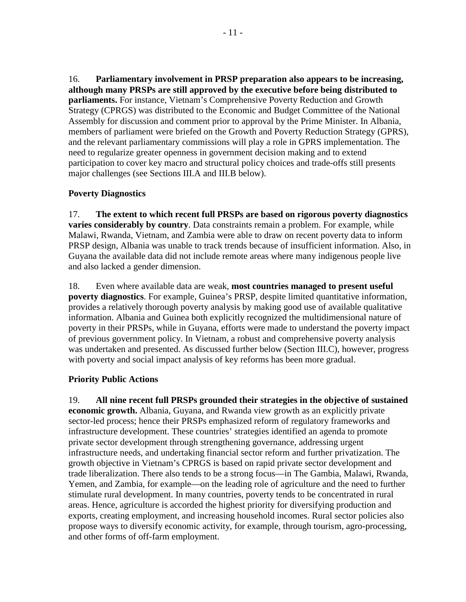16. **Parliamentary involvement in PRSP preparation also appears to be increasing, although many PRSPs are still approved by the executive before being distributed to parliaments.** For instance, Vietnam's Comprehensive Poverty Reduction and Growth Strategy (CPRGS) was distributed to the Economic and Budget Committee of the National Assembly for discussion and comment prior to approval by the Prime Minister. In Albania, members of parliament were briefed on the Growth and Poverty Reduction Strategy (GPRS), and the relevant parliamentary commissions will play a role in GPRS implementation. The need to regularize greater openness in government decision making and to extend participation to cover key macro and structural policy choices and trade-offs still presents major challenges (see Sections III.A and III.B below).

### **Poverty Diagnostics**

17. **The extent to which recent full PRSPs are based on rigorous poverty diagnostics varies considerably by country**. Data constraints remain a problem. For example, while Malawi, Rwanda, Vietnam, and Zambia were able to draw on recent poverty data to inform PRSP design, Albania was unable to track trends because of insufficient information. Also, in Guyana the available data did not include remote areas where many indigenous people live and also lacked a gender dimension.

18. Even where available data are weak, **most countries managed to present useful poverty diagnostics**. For example, Guinea's PRSP, despite limited quantitative information, provides a relatively thorough poverty analysis by making good use of available qualitative information. Albania and Guinea both explicitly recognized the multidimensional nature of poverty in their PRSPs, while in Guyana, efforts were made to understand the poverty impact of previous government policy. In Vietnam, a robust and comprehensive poverty analysis was undertaken and presented. As discussed further below (Section III.C), however, progress with poverty and social impact analysis of key reforms has been more gradual.

### **Priority Public Actions**

19. **All nine recent full PRSPs grounded their strategies in the objective of sustained economic growth.** Albania, Guyana, and Rwanda view growth as an explicitly private sector-led process; hence their PRSPs emphasized reform of regulatory frameworks and infrastructure development. These countries' strategies identified an agenda to promote private sector development through strengthening governance, addressing urgent infrastructure needs, and undertaking financial sector reform and further privatization. The growth objective in Vietnam's CPRGS is based on rapid private sector development and trade liberalization. There also tends to be a strong focus—in The Gambia, Malawi, Rwanda, Yemen, and Zambia, for example—on the leading role of agriculture and the need to further stimulate rural development. In many countries, poverty tends to be concentrated in rural areas. Hence, agriculture is accorded the highest priority for diversifying production and exports, creating employment, and increasing household incomes. Rural sector policies also propose ways to diversify economic activity, for example, through tourism, agro-processing, and other forms of off-farm employment.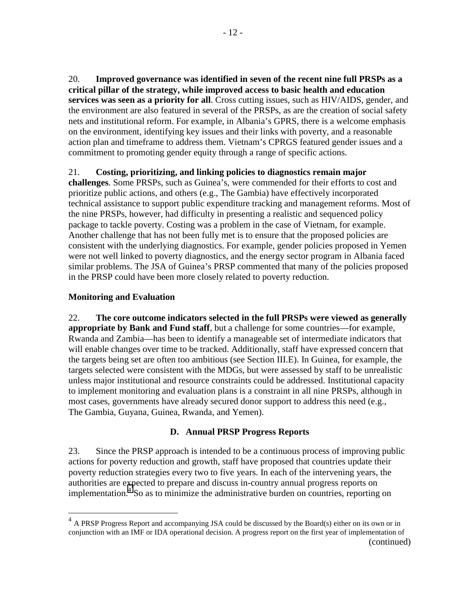<span id="page-12-0"></span>20. **Improved governance was identified in seven of the recent nine full PRSPs as a critical pillar of the strategy, while improved access to basic health and education services was seen as a priority for all**. Cross cutting issues, such as HIV/AIDS, gender, and the environment are also featured in several of the PRSPs, as are the creation of social safety nets and institutional reform. For example, in Albania's GPRS, there is a welcome emphasis on the environment, identifying key issues and their links with poverty, and a reasonable action plan and timeframe to address them. Vietnam's CPRGS featured gender issues and a commitment to promoting gender equity through a range of specific actions.

### 21. **Costing, prioritizing, and linking policies to diagnostics remain major**

**challenges**. Some PRSPs, such as Guinea's, were commended for their efforts to cost and prioritize public actions, and others (e.g., The Gambia) have effectively incorporated technical assistance to support public expenditure tracking and management reforms. Most of the nine PRSPs, however, had difficulty in presenting a realistic and sequenced policy package to tackle poverty. Costing was a problem in the case of Vietnam, for example. Another challenge that has not been fully met is to ensure that the proposed policies are consistent with the underlying diagnostics. For example, gender policies proposed in Yemen were not well linked to poverty diagnostics, and the energy sector program in Albania faced similar problems. The JSA of Guinea's PRSP commented that many of the policies proposed in the PRSP could have been more closely related to poverty reduction.

### **Monitoring and Evaluation**

1

22. **The core outcome indicators selected in the full PRSPs were viewed as generally appropriate by Bank and Fund staff**, but a challenge for some countries—for example, Rwanda and Zambia—has been to identify a manageable set of intermediate indicators that will enable changes over time to be tracked. Additionally, staff have expressed concern that the targets being set are often too ambitious (see Section III.E). In Guinea, for example, the targets selected were consistent with the MDGs, but were assessed by staff to be unrealistic unless major institutional and resource constraints could be addressed. Institutional capacity to implement monitoring and evaluation plans is a constraint in all nine PRSPs, although in most cases, governments have already secured donor support to address this need (e.g., The Gambia, Guyana, Guinea, Rwanda, and Yemen).

### **D. Annual PRSP Progress Reports**

23. Since the PRSP approach is intended to be a continuous process of improving public actions for poverty reduction and growth, staff have proposed that countries update their poverty reduction strategies every two to five years. In each of the intervening years, the authorities are expected to prepare and discuss in-country annual progress reports on implementation.<sup>4</sup> So as to minimize the administrative burden on countries, reporting on

<sup>&</sup>lt;sup>4</sup> A PRSP Progress Report and accompanying JSA could be discussed by the Board(s) either on its own or in conjunction with an IMF or IDA operational decision. A progress report on the first year of implementation of (continued)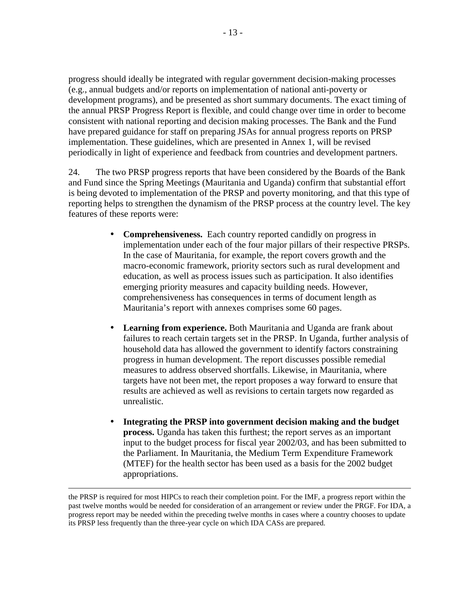progress should ideally be integrated with regular government decision-making processes (e.g., annual budgets and/or reports on implementation of national anti-poverty or development programs), and be presented as short summary documents. The exact timing of the annual PRSP Progress Report is flexible, and could change over time in order to become consistent with national reporting and decision making processes. The Bank and the Fund have prepared guidance for staff on preparing JSAs for annual progress reports on PRSP implementation. These guidelines, which are presented in Annex 1, will be revised periodically in light of experience and feedback from countries and development partners.

24. The two PRSP progress reports that have been considered by the Boards of the Bank and Fund since the Spring Meetings (Mauritania and Uganda) confirm that substantial effort is being devoted to implementation of the PRSP and poverty monitoring, and that this type of reporting helps to strengthen the dynamism of the PRSP process at the country level. The key features of these reports were:

- **Comprehensiveness.** Each country reported candidly on progress in implementation under each of the four major pillars of their respective PRSPs. In the case of Mauritania, for example, the report covers growth and the macro-economic framework, priority sectors such as rural development and education, as well as process issues such as participation. It also identifies emerging priority measures and capacity building needs. However, comprehensiveness has consequences in terms of document length as Mauritania's report with annexes comprises some 60 pages.
- **Learning from experience.** Both Mauritania and Uganda are frank about failures to reach certain targets set in the PRSP. In Uganda, further analysis of household data has allowed the government to identify factors constraining progress in human development. The report discusses possible remedial measures to address observed shortfalls. Likewise, in Mauritania, where targets have not been met, the report proposes a way forward to ensure that results are achieved as well as revisions to certain targets now regarded as unrealistic.
- **Integrating the PRSP into government decision making and the budget process.** Uganda has taken this furthest; the report serves as an important input to the budget process for fiscal year 2002/03, and has been submitted to the Parliament. In Mauritania, the Medium Term Expenditure Framework (MTEF) for the health sector has been used as a basis for the 2002 budget appropriations.

the PRSP is required for most HIPCs to reach their completion point. For the IMF, a progress report within the past twelve months would be needed for consideration of an arrangement or review under the PRGF. For IDA, a progress report may be needed within the preceding twelve months in cases where a country chooses to update its PRSP less frequently than the three-year cycle on which IDA CASs are prepared.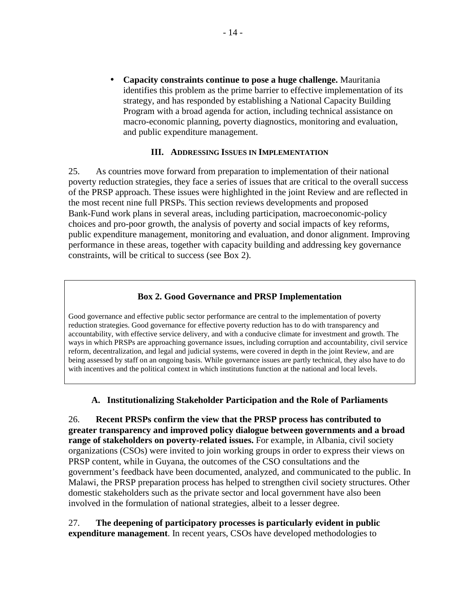<span id="page-14-0"></span>• **Capacity constraints continue to pose a huge challenge.** Mauritania identifies this problem as the prime barrier to effective implementation of its strategy, and has responded by establishing a National Capacity Building Program with a broad agenda for action, including technical assistance on macro-economic planning, poverty diagnostics, monitoring and evaluation, and public expenditure management.

#### **III. ADDRESSING ISSUES IN IMPLEMENTATION**

25. As countries move forward from preparation to implementation of their national poverty reduction strategies, they face a series of issues that are critical to the overall success of the PRSP approach. These issues were highlighted in the joint Review and are reflected in the most recent nine full PRSPs. This section reviews developments and proposed Bank-Fund work plans in several areas, including participation, macroeconomic-policy choices and pro-poor growth, the analysis of poverty and social impacts of key reforms, public expenditure management, monitoring and evaluation, and donor alignment. Improving performance in these areas, together with capacity building and addressing key governance constraints, will be critical to success (see Box 2).

#### **Box 2. Good Governance and PRSP Implementation**

Good governance and effective public sector performance are central to the implementation of poverty reduction strategies. Good governance for effective poverty reduction has to do with transparency and accountability, with effective service delivery, and with a conducive climate for investment and growth. The ways in which PRSPs are approaching governance issues, including corruption and accountability, civil service reform, decentralization, and legal and judicial systems, were covered in depth in the joint Review, and are being assessed by staff on an ongoing basis. While governance issues are partly technical, they also have to do with incentives and the political context in which institutions function at the national and local levels.

#### **A. Institutionalizing Stakeholder Participation and the Role of Parliaments**

26. **Recent PRSPs confirm the view that the PRSP process has contributed to greater transparency and improved policy dialogue between governments and a broad range of stakeholders on poverty-related issues.** For example, in Albania, civil society organizations (CSOs) were invited to join working groups in order to express their views on PRSP content, while in Guyana, the outcomes of the CSO consultations and the government's feedback have been documented, analyzed, and communicated to the public. In Malawi, the PRSP preparation process has helped to strengthen civil society structures. Other domestic stakeholders such as the private sector and local government have also been involved in the formulation of national strategies, albeit to a lesser degree.

### 27. **The deepening of participatory processes is particularly evident in public expenditure management**. In recent years, CSOs have developed methodologies to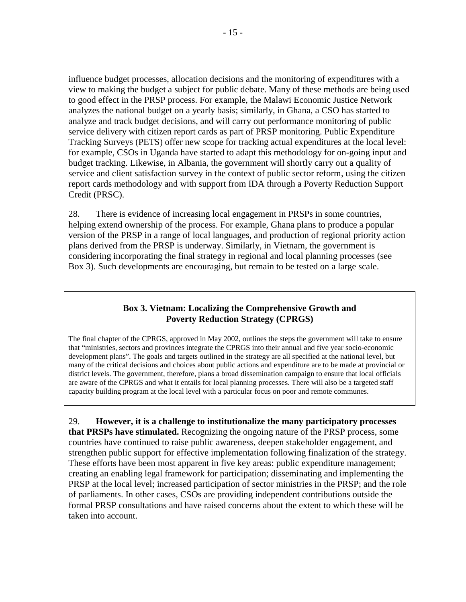influence budget processes, allocation decisions and the monitoring of expenditures with a view to making the budget a subject for public debate. Many of these methods are being used to good effect in the PRSP process. For example, the Malawi Economic Justice Network analyzes the national budget on a yearly basis; similarly, in Ghana, a CSO has started to analyze and track budget decisions, and will carry out performance monitoring of public service delivery with citizen report cards as part of PRSP monitoring. Public Expenditure Tracking Surveys (PETS) offer new scope for tracking actual expenditures at the local level: for example, CSOs in Uganda have started to adapt this methodology for on-going input and budget tracking. Likewise, in Albania, the government will shortly carry out a quality of service and client satisfaction survey in the context of public sector reform, using the citizen report cards methodology and with support from IDA through a Poverty Reduction Support Credit (PRSC).

28. There is evidence of increasing local engagement in PRSPs in some countries, helping extend ownership of the process. For example, Ghana plans to produce a popular version of the PRSP in a range of local languages, and production of regional priority action plans derived from the PRSP is underway. Similarly, in Vietnam, the government is considering incorporating the final strategy in regional and local planning processes (see Box 3). Such developments are encouraging, but remain to be tested on a large scale.

### **Box 3. Vietnam: Localizing the Comprehensive Growth and Poverty Reduction Strategy (CPRGS)**

The final chapter of the CPRGS, approved in May 2002, outlines the steps the government will take to ensure that "ministries, sectors and provinces integrate the CPRGS into their annual and five year socio-economic development plans". The goals and targets outlined in the strategy are all specified at the national level, but many of the critical decisions and choices about public actions and expenditure are to be made at provincial or district levels. The government, therefore, plans a broad dissemination campaign to ensure that local officials are aware of the CPRGS and what it entails for local planning processes. There will also be a targeted staff capacity building program at the local level with a particular focus on poor and remote communes.

29. **However, it is a challenge to institutionalize the many participatory processes that PRSPs have stimulated.** Recognizing the ongoing nature of the PRSP process, some countries have continued to raise public awareness, deepen stakeholder engagement, and strengthen public support for effective implementation following finalization of the strategy. These efforts have been most apparent in five key areas: public expenditure management; creating an enabling legal framework for participation; disseminating and implementing the PRSP at the local level; increased participation of sector ministries in the PRSP; and the role of parliaments. In other cases, CSOs are providing independent contributions outside the formal PRSP consultations and have raised concerns about the extent to which these will be taken into account.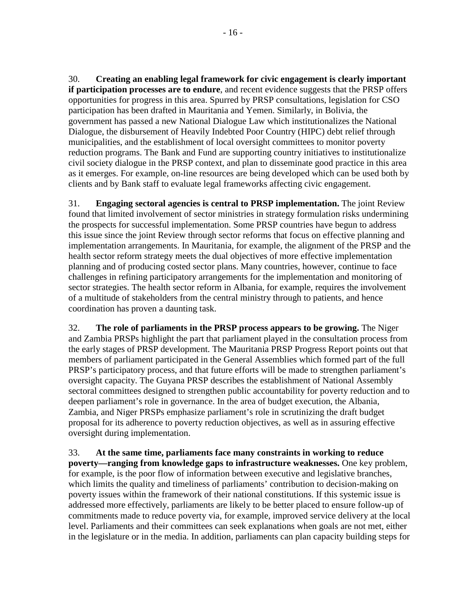30. **Creating an enabling legal framework for civic engagement is clearly important if participation processes are to endure**, and recent evidence suggests that the PRSP offers opportunities for progress in this area. Spurred by PRSP consultations, legislation for CSO participation has been drafted in Mauritania and Yemen. Similarly, in Bolivia, the government has passed a new National Dialogue Law which institutionalizes the National Dialogue, the disbursement of Heavily Indebted Poor Country (HIPC) debt relief through municipalities, and the establishment of local oversight committees to monitor poverty reduction programs. The Bank and Fund are supporting country initiatives to institutionalize civil society dialogue in the PRSP context, and plan to disseminate good practice in this area as it emerges. For example, on-line resources are being developed which can be used both by clients and by Bank staff to evaluate legal frameworks affecting civic engagement.

31. **Engaging sectoral agencies is central to PRSP implementation.** The joint Review found that limited involvement of sector ministries in strategy formulation risks undermining the prospects for successful implementation. Some PRSP countries have begun to address this issue since the joint Review through sector reforms that focus on effective planning and implementation arrangements. In Mauritania, for example, the alignment of the PRSP and the health sector reform strategy meets the dual objectives of more effective implementation planning and of producing costed sector plans. Many countries, however, continue to face challenges in refining participatory arrangements for the implementation and monitoring of sector strategies. The health sector reform in Albania, for example, requires the involvement of a multitude of stakeholders from the central ministry through to patients, and hence coordination has proven a daunting task.

32. **The role of parliaments in the PRSP process appears to be growing.** The Niger and Zambia PRSPs highlight the part that parliament played in the consultation process from the early stages of PRSP development. The Mauritania PRSP Progress Report points out that members of parliament participated in the General Assemblies which formed part of the full PRSP's participatory process, and that future efforts will be made to strengthen parliament's oversight capacity. The Guyana PRSP describes the establishment of National Assembly sectoral committees designed to strengthen public accountability for poverty reduction and to deepen parliament's role in governance. In the area of budget execution, the Albania, Zambia, and Niger PRSPs emphasize parliament's role in scrutinizing the draft budget proposal for its adherence to poverty reduction objectives, as well as in assuring effective oversight during implementation.

33. **At the same time, parliaments face many constraints in working to reduce poverty—ranging from knowledge gaps to infrastructure weaknesses.** One key problem, for example, is the poor flow of information between executive and legislative branches, which limits the quality and timeliness of parliaments' contribution to decision-making on poverty issues within the framework of their national constitutions. If this systemic issue is addressed more effectively, parliaments are likely to be better placed to ensure follow-up of commitments made to reduce poverty via, for example, improved service delivery at the local level. Parliaments and their committees can seek explanations when goals are not met, either in the legislature or in the media. In addition, parliaments can plan capacity building steps for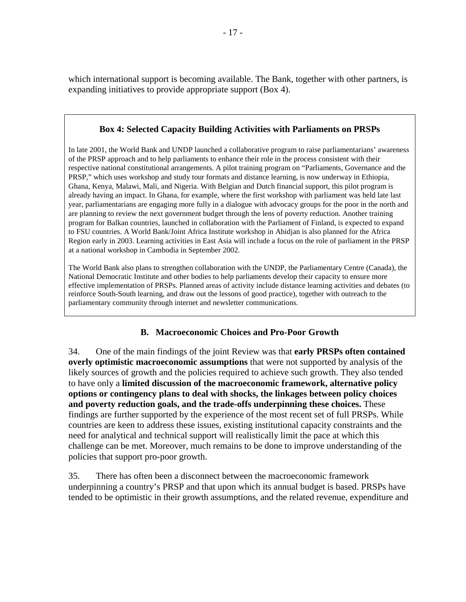<span id="page-17-0"></span>which international support is becoming available. The Bank, together with other partners, is expanding initiatives to provide appropriate support (Box 4).

### **Box 4: Selected Capacity Building Activities with Parliaments on PRSPs**

In late 2001, the World Bank and UNDP launched a collaborative program to raise parliamentarians' awareness of the PRSP approach and to help parliaments to enhance their role in the process consistent with their respective national constitutional arrangements. A pilot training program on "Parliaments, Governance and the PRSP," which uses workshop and study tour formats and distance learning, is now underway in Ethiopia, Ghana, Kenya, Malawi, Mali, and Nigeria. With Belgian and Dutch financial support, this pilot program is already having an impact. In Ghana, for example, where the first workshop with parliament was held late last year, parliamentarians are engaging more fully in a dialogue with advocacy groups for the poor in the north and are planning to review the next government budget through the lens of poverty reduction. Another training program for Balkan countries, launched in collaboration with the Parliament of Finland, is expected to expand to FSU countries. A World Bank/Joint Africa Institute workshop in Abidjan is also planned for the Africa Region early in 2003. Learning activities in East Asia will include a focus on the role of parliament in the PRSP at a national workshop in Cambodia in September 2002.

The World Bank also plans to strengthen collaboration with the UNDP, the Parliamentary Centre (Canada), the National Democratic Institute and other bodies to help parliaments develop their capacity to ensure more effective implementation of PRSPs. Planned areas of activity include distance learning activities and debates (to reinforce South-South learning, and draw out the lessons of good practice), together with outreach to the parliamentary community through internet and newsletter communications.

### **B. Macroeconomic Choices and Pro-Poor Growth**

34. One of the main findings of the joint Review was that **early PRSPs often contained overly optimistic macroeconomic assumptions** that were not supported by analysis of the likely sources of growth and the policies required to achieve such growth. They also tended to have only a **limited discussion of the macroeconomic framework, alternative policy options or contingency plans to deal with shocks, the linkages between policy choices and poverty reduction goals, and the trade-offs underpinning these choices.** These findings are further supported by the experience of the most recent set of full PRSPs. While countries are keen to address these issues, existing institutional capacity constraints and the need for analytical and technical support will realistically limit the pace at which this challenge can be met. Moreover, much remains to be done to improve understanding of the policies that support pro-poor growth.

35. There has often been a disconnect between the macroeconomic framework underpinning a country's PRSP and that upon which its annual budget is based. PRSPs have tended to be optimistic in their growth assumptions, and the related revenue, expenditure and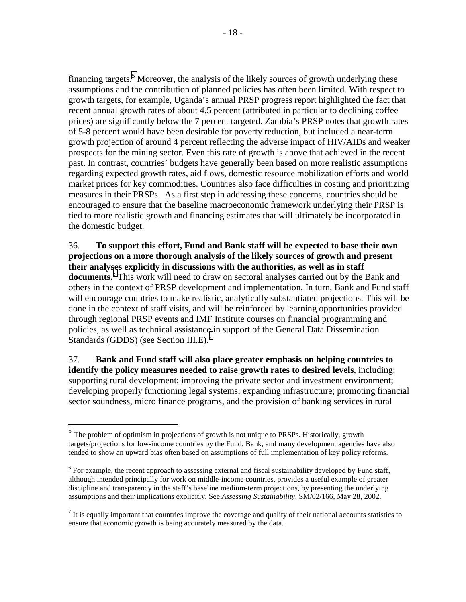financing targets.<sup>5</sup> Moreover, the analysis of the likely sources of growth underlying these assumptions and the contribution of planned policies has often been limited. With respect to growth targets, for example, Uganda's annual PRSP progress report highlighted the fact that recent annual growth rates of about 4.5 percent (attributed in particular to declining coffee prices) are significantly below the 7 percent targeted. Zambia's PRSP notes that growth rates of 5-8 percent would have been desirable for poverty reduction, but included a near-term growth projection of around 4 percent reflecting the adverse impact of HIV/AIDs and weaker prospects for the mining sector. Even this rate of growth is above that achieved in the recent past. In contrast, countries' budgets have generally been based on more realistic assumptions regarding expected growth rates, aid flows, domestic resource mobilization efforts and world market prices for key commodities. Countries also face difficulties in costing and prioritizing measures in their PRSPs. As a first step in addressing these concerns, countries should be encouraged to ensure that the baseline macroeconomic framework underlying their PRSP is tied to more realistic growth and financing estimates that will ultimately be incorporated in the domestic budget.

36. **To support this effort, Fund and Bank staff will be expected to base their own projections on a more thorough analysis of the likely sources of growth and present their analyses explicitly in discussions with the authorities, as well as in staff documents.**<sup>6</sup> This work will need to draw on sectoral analyses carried out by the Bank and others in the context of PRSP development and implementation. In turn, Bank and Fund staff will encourage countries to make realistic, analytically substantiated projections. This will be done in the context of staff visits, and will be reinforced by learning opportunities provided through regional PRSP events and IMF Institute courses on financial programming and policies, as well as technical assistance in support of the General Data Dissemination Standards (GDDS) (see Section III.E).<sup>7</sup>

37. **Bank and Fund staff will also place greater emphasis on helping countries to identify the policy measures needed to raise growth rates to desired levels**, including: supporting rural development; improving the private sector and investment environment; developing properly functioning legal systems; expanding infrastructure; promoting financial sector soundness, micro finance programs, and the provision of banking services in rural

<u>.</u>

<sup>&</sup>lt;sup>5</sup> The problem of optimism in projections of growth is not unique to PRSPs. Historically, growth targets/projections for low-income countries by the Fund, Bank, and many development agencies have also tended to show an upward bias often based on assumptions of full implementation of key policy reforms.

<sup>&</sup>lt;sup>6</sup> For example, the recent approach to assessing external and fiscal sustainability developed by Fund staff, although intended principally for work on middle-income countries, provides a useful example of greater discipline and transparency in the staff's baseline medium-term projections, by presenting the underlying assumptions and their implications explicitly. See *Assessing Sustainability*, SM/02/166, May 28, 2002.

 $<sup>7</sup>$  It is equally important that countries improve the coverage and quality of their national accounts statistics to</sup> ensure that economic growth is being accurately measured by the data.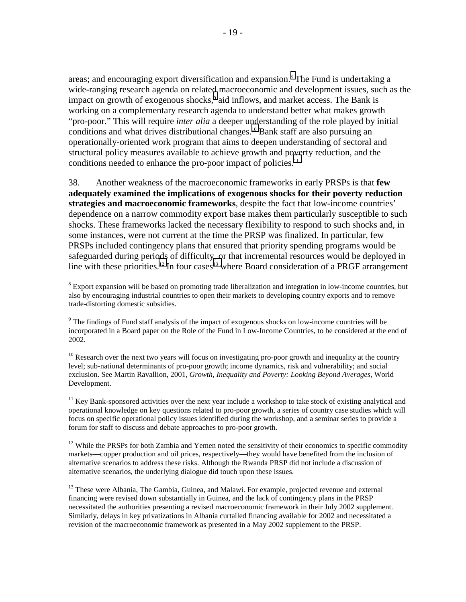areas; and encouraging export diversification and expansion.<sup>8</sup> The Fund is undertaking a wide-ranging research agenda on related macroeconomic and development issues, such as the impact on growth of exogenous shocks,<sup>9</sup> aid inflows, and market access. The Bank is working on a complementary research agenda to understand better what makes growth "pro-poor." This will require *inter alia* a deeper understanding of the role played by initial conditions and what drives distributional changes.10 Bank staff are also pursuing an operationally-oriented work program that aims to deepen understanding of sectoral and structural policy measures available to achieve growth and poverty reduction, and the conditions needed to enhance the pro-poor impact of policies.<sup>11</sup>

38. Another weakness of the macroeconomic frameworks in early PRSPs is that **few adequately examined the implications of exogenous shocks for their poverty reduction strategies and macroeconomic frameworks**, despite the fact that low-income countries' dependence on a narrow commodity export base makes them particularly susceptible to such shocks. These frameworks lacked the necessary flexibility to respond to such shocks and, in some instances, were not current at the time the PRSP was finalized. In particular, few PRSPs included contingency plans that ensured that priority spending programs would be safeguarded during periods of difficulty, or that incremental resources would be deployed in line with these priorities.<sup>12</sup> In four cases<sup>13</sup> where Board consideration of a PRGF arrangement

 $\overline{a}$ 

<sup>10</sup> Research over the next two years will focus on investigating pro-poor growth and inequality at the country level; sub-national determinants of pro-poor growth; income dynamics, risk and vulnerability; and social exclusion. See Martin Ravallion, 2001, *Growth, Inequality and Poverty: Looking Beyond Averages*, World Development.

 $11$  Key Bank-sponsored activities over the next year include a workshop to take stock of existing analytical and operational knowledge on key questions related to pro-poor growth, a series of country case studies which will focus on specific operational policy issues identified during the workshop, and a seminar series to provide a forum for staff to discuss and debate approaches to pro-poor growth.

 $12$  While the PRSPs for both Zambia and Yemen noted the sensitivity of their economics to specific commodity markets—copper production and oil prices, respectively—they would have benefited from the inclusion of alternative scenarios to address these risks. Although the Rwanda PRSP did not include a discussion of alternative scenarios, the underlying dialogue did touch upon these issues.

<sup>13</sup> These were Albania, The Gambia, Guinea, and Malawi. For example, projected revenue and external financing were revised down substantially in Guinea, and the lack of contingency plans in the PRSP necessitated the authorities presenting a revised macroeconomic framework in their July 2002 supplement. Similarly, delays in key privatizations in Albania curtailed financing available for 2002 and necessitated a revision of the macroeconomic framework as presented in a May 2002 supplement to the PRSP.

 $8$  Export expansion will be based on promoting trade liberalization and integration in low-income countries, but also by encouraging industrial countries to open their markets to developing country exports and to remove trade-distorting domestic subsidies.

<sup>&</sup>lt;sup>9</sup> The findings of Fund staff analysis of the impact of exogenous shocks on low-income countries will be incorporated in a Board paper on the Role of the Fund in Low-Income Countries, to be considered at the end of 2002.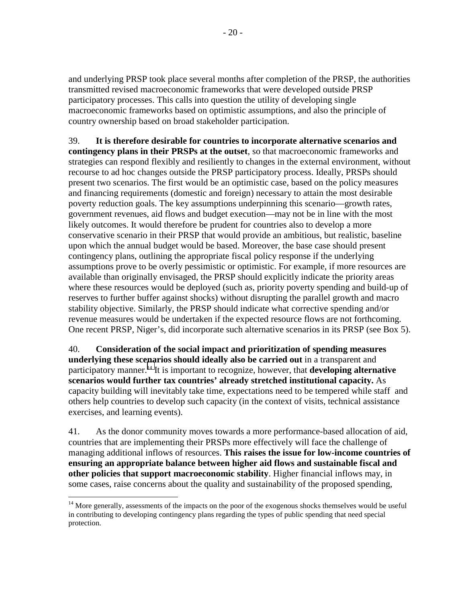and underlying PRSP took place several months after completion of the PRSP, the authorities transmitted revised macroeconomic frameworks that were developed outside PRSP participatory processes. This calls into question the utility of developing single macroeconomic frameworks based on optimistic assumptions, and also the principle of country ownership based on broad stakeholder participation.

39. **It is therefore desirable for countries to incorporate alternative scenarios and contingency plans in their PRSPs at the outset**, so that macroeconomic frameworks and strategies can respond flexibly and resiliently to changes in the external environment, without recourse to ad hoc changes outside the PRSP participatory process. Ideally, PRSPs should present two scenarios. The first would be an optimistic case, based on the policy measures and financing requirements (domestic and foreign) necessary to attain the most desirable poverty reduction goals. The key assumptions underpinning this scenario—growth rates, government revenues, aid flows and budget execution—may not be in line with the most likely outcomes. It would therefore be prudent for countries also to develop a more conservative scenario in their PRSP that would provide an ambitious, but realistic, baseline upon which the annual budget would be based. Moreover, the base case should present contingency plans, outlining the appropriate fiscal policy response if the underlying assumptions prove to be overly pessimistic or optimistic. For example, if more resources are available than originally envisaged, the PRSP should explicitly indicate the priority areas where these resources would be deployed (such as, priority poverty spending and build-up of reserves to further buffer against shocks) without disrupting the parallel growth and macro stability objective. Similarly, the PRSP should indicate what corrective spending and/or revenue measures would be undertaken if the expected resource flows are not forthcoming. One recent PRSP, Niger's, did incorporate such alternative scenarios in its PRSP (see Box 5).

40. **Consideration of the social impact and prioritization of spending measures underlying these scenarios should ideally also be carried out** in a transparent and participatory manner.14 It is important to recognize, however, that **developing alternative scenarios would further tax countries' already stretched institutional capacity.** As capacity building will inevitably take time, expectations need to be tempered while staff and others help countries to develop such capacity (in the context of visits, technical assistance exercises, and learning events).

41. As the donor community moves towards a more performance-based allocation of aid, countries that are implementing their PRSPs more effectively will face the challenge of managing additional inflows of resources. **This raises the issue for low-income countries of ensuring an appropriate balance between higher aid flows and sustainable fiscal and other policies that support macroeconomic stability**. Higher financial inflows may, in some cases, raise concerns about the quality and sustainability of the proposed spending,

<sup>&</sup>lt;sup>14</sup> More generally, assessments of the impacts on the poor of the exogenous shocks themselves would be useful in contributing to developing contingency plans regarding the types of public spending that need special protection.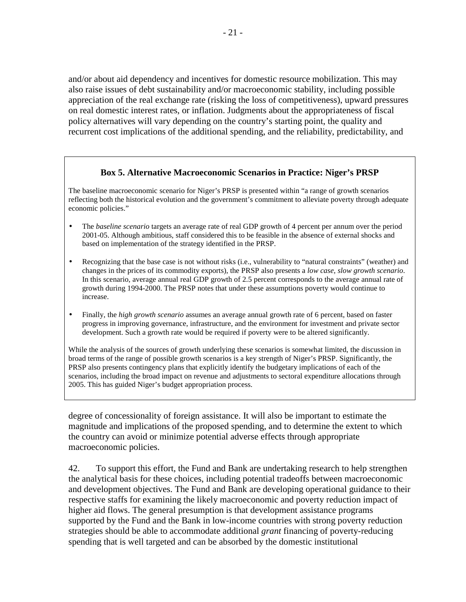and/or about aid dependency and incentives for domestic resource mobilization. This may also raise issues of debt sustainability and/or macroeconomic stability, including possible appreciation of the real exchange rate (risking the loss of competitiveness), upward pressures on real domestic interest rates, or inflation. Judgments about the appropriateness of fiscal policy alternatives will vary depending on the country's starting point, the quality and recurrent cost implications of the additional spending, and the reliability, predictability, and

#### **Box 5. Alternative Macroeconomic Scenarios in Practice: Niger's PRSP**

The baseline macroeconomic scenario for Niger's PRSP is presented within "a range of growth scenarios reflecting both the historical evolution and the government's commitment to alleviate poverty through adequate economic policies."

- The *baseline scenario* targets an average rate of real GDP growth of 4 percent per annum over the period 2001-05. Although ambitious, staff considered this to be feasible in the absence of external shocks and based on implementation of the strategy identified in the PRSP.
- Recognizing that the base case is not without risks (i.e., vulnerability to "natural constraints" (weather) and changes in the prices of its commodity exports), the PRSP also presents a *low case, slow growth scenario*. In this scenario, average annual real GDP growth of 2.5 percent corresponds to the average annual rate of growth during 1994-2000. The PRSP notes that under these assumptions poverty would continue to increase.
- Finally, the *high growth scenario* assumes an average annual growth rate of 6 percent, based on faster progress in improving governance, infrastructure, and the environment for investment and private sector development. Such a growth rate would be required if poverty were to be altered significantly.

While the analysis of the sources of growth underlying these scenarios is somewhat limited, the discussion in broad terms of the range of possible growth scenarios is a key strength of Niger's PRSP. Significantly, the PRSP also presents contingency plans that explicitly identify the budgetary implications of each of the scenarios, including the broad impact on revenue and adjustments to sectoral expenditure allocations through 2005. This has guided Niger's budget appropriation process.

degree of concessionality of foreign assistance. It will also be important to estimate the magnitude and implications of the proposed spending, and to determine the extent to which the country can avoid or minimize potential adverse effects through appropriate macroeconomic policies.

42. To support this effort, the Fund and Bank are undertaking research to help strengthen the analytical basis for these choices, including potential tradeoffs between macroeconomic and development objectives. The Fund and Bank are developing operational guidance to their respective staffs for examining the likely macroeconomic and poverty reduction impact of higher aid flows. The general presumption is that development assistance programs supported by the Fund and the Bank in low-income countries with strong poverty reduction strategies should be able to accommodate additional *grant* financing of poverty-reducing spending that is well targeted and can be absorbed by the domestic institutional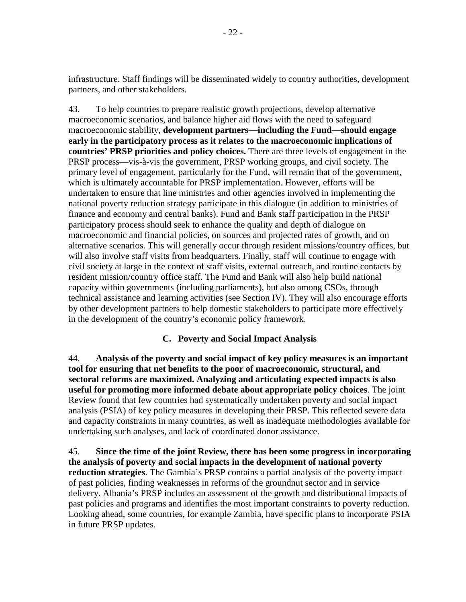<span id="page-22-0"></span>infrastructure. Staff findings will be disseminated widely to country authorities, development partners, and other stakeholders.

43. To help countries to prepare realistic growth projections, develop alternative macroeconomic scenarios, and balance higher aid flows with the need to safeguard macroeconomic stability, **development partners—including the Fund—should engage early in the participatory process as it relates to the macroeconomic implications of countries' PRSP priorities and policy choices.** There are three levels of engagement in the PRSP process—vis-à-vis the government, PRSP working groups, and civil society. The primary level of engagement, particularly for the Fund, will remain that of the government, which is ultimately accountable for PRSP implementation. However, efforts will be undertaken to ensure that line ministries and other agencies involved in implementing the national poverty reduction strategy participate in this dialogue (in addition to ministries of finance and economy and central banks). Fund and Bank staff participation in the PRSP participatory process should seek to enhance the quality and depth of dialogue on macroeconomic and financial policies, on sources and projected rates of growth, and on alternative scenarios. This will generally occur through resident missions/country offices, but will also involve staff visits from headquarters. Finally, staff will continue to engage with civil society at large in the context of staff visits, external outreach, and routine contacts by resident mission/country office staff. The Fund and Bank will also help build national capacity within governments (including parliaments), but also among CSOs, through technical assistance and learning activities (see Section IV). They will also encourage efforts by other development partners to help domestic stakeholders to participate more effectively in the development of the country's economic policy framework.

### **C. Poverty and Social Impact Analysis**

44. **Analysis of the poverty and social impact of key policy measures is an important tool for ensuring that net benefits to the poor of macroeconomic, structural, and sectoral reforms are maximized. Analyzing and articulating expected impacts is also useful for promoting more informed debate about appropriate policy choices**. The joint Review found that few countries had systematically undertaken poverty and social impact analysis (PSIA) of key policy measures in developing their PRSP. This reflected severe data and capacity constraints in many countries, as well as inadequate methodologies available for undertaking such analyses, and lack of coordinated donor assistance.

45. **Since the time of the joint Review, there has been some progress in incorporating the analysis of poverty and social impacts in the development of national poverty reduction strategies**. The Gambia's PRSP contains a partial analysis of the poverty impact of past policies, finding weaknesses in reforms of the groundnut sector and in service delivery. Albania's PRSP includes an assessment of the growth and distributional impacts of past policies and programs and identifies the most important constraints to poverty reduction. Looking ahead, some countries, for example Zambia, have specific plans to incorporate PSIA in future PRSP updates.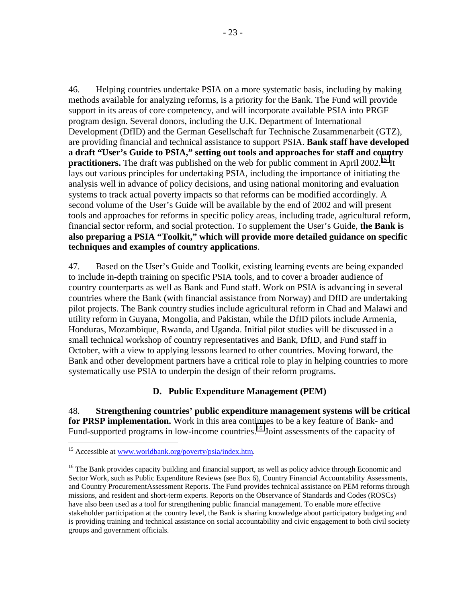<span id="page-23-0"></span>46. Helping countries undertake PSIA on a more systematic basis, including by making methods available for analyzing reforms, is a priority for the Bank. The Fund will provide support in its areas of core competency, and will incorporate available PSIA into PRGF program design. Several donors, including the U.K. Department of International Development (DfID) and the German Gesellschaft fur Technische Zusammenarbeit (GTZ), are providing financial and technical assistance to support PSIA. **Bank staff have developed a draft "User's Guide to PSIA," setting out tools and approaches for staff and country practitioners.** The draft was published on the web for public comment in April 2002.<sup>15</sup> It lays out various principles for undertaking PSIA, including the importance of initiating the analysis well in advance of policy decisions, and using national monitoring and evaluation systems to track actual poverty impacts so that reforms can be modified accordingly. A second volume of the User's Guide will be available by the end of 2002 and will present tools and approaches for reforms in specific policy areas, including trade, agricultural reform, financial sector reform, and social protection. To supplement the User's Guide, **the Bank is also preparing a PSIA "Toolkit," which will provide more detailed guidance on specific techniques and examples of country applications**.

47. Based on the User's Guide and Toolkit, existing learning events are being expanded to include in-depth training on specific PSIA tools, and to cover a broader audience of country counterparts as well as Bank and Fund staff. Work on PSIA is advancing in several countries where the Bank (with financial assistance from Norway) and DfID are undertaking pilot projects. The Bank country studies include agricultural reform in Chad and Malawi and utility reform in Guyana, Mongolia, and Pakistan, while the DfID pilots include Armenia, Honduras, Mozambique, Rwanda, and Uganda. Initial pilot studies will be discussed in a small technical workshop of country representatives and Bank, DfID, and Fund staff in October, with a view to applying lessons learned to other countries. Moving forward, the Bank and other development partners have a critical role to play in helping countries to more systematically use PSIA to underpin the design of their reform programs.

### **D. Public Expenditure Management (PEM)**

48. **Strengthening countries' public expenditure management systems will be critical for PRSP implementation.** Work in this area continues to be a key feature of Bank- and Fund-supported programs in low-income countries.<sup>16</sup> Joint assessments of the capacity of

<sup>&</sup>lt;sup>15</sup> Accessible at www.worldbank.org/poverty/psia/index.htm.

<sup>&</sup>lt;sup>16</sup> The Bank provides capacity building and financial support, as well as policy advice through Economic and Sector Work, such as Public Expenditure Reviews (see Box 6), Country Financial Accountability Assessments, and Country ProcurementAssessment Reports. The Fund provides technical assistance on PEM reforms through missions, and resident and short-term experts. Reports on the Observance of Standards and Codes (ROSCs) have also been used as a tool for strengthening public financial management. To enable more effective stakeholder participation at the country level, the Bank is sharing knowledge about participatory budgeting and is providing training and technical assistance on social accountability and civic engagement to both civil society groups and government officials.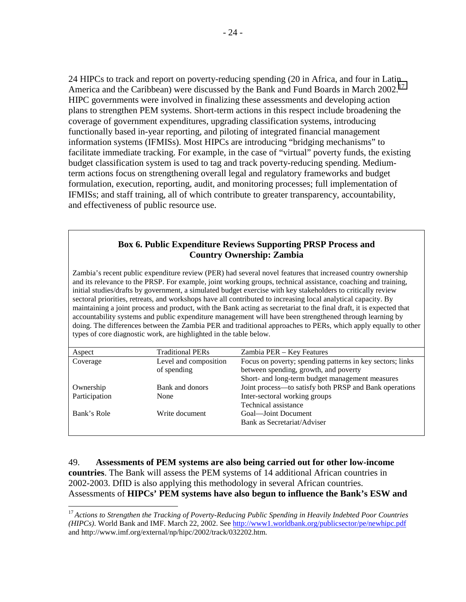24 HIPCs to track and report on poverty-reducing spending (20 in Africa, and four in Latin America and the Caribbean) were discussed by the Bank and Fund Boards in March 2002.<sup>17</sup> HIPC governments were involved in finalizing these assessments and developing action plans to strengthen PEM systems. Short-term actions in this respect include broadening the coverage of government expenditures, upgrading classification systems, introducing functionally based in-year reporting, and piloting of integrated financial management information systems (IFMISs). Most HIPCs are introducing "bridging mechanisms" to facilitate immediate tracking. For example, in the case of "virtual" poverty funds, the existing budget classification system is used to tag and track poverty-reducing spending. Mediumterm actions focus on strengthening overall legal and regulatory frameworks and budget formulation, execution, reporting, audit, and monitoring processes; full implementation of IFMISs; and staff training, all of which contribute to greater transparency, accountability, and effectiveness of public resource use.

#### **Box 6. Public Expenditure Reviews Supporting PRSP Process and Country Ownership: Zambia**

Zambia's recent public expenditure review (PER) had several novel features that increased country ownership and its relevance to the PRSP. For example, joint working groups, technical assistance, coaching and training, initial studies/drafts by government, a simulated budget exercise with key stakeholders to critically review sectoral priorities, retreats, and workshops have all contributed to increasing local analytical capacity. By maintaining a joint process and product, with the Bank acting as secretariat to the final draft, it is expected that accountability systems and public expenditure management will have been strengthened through learning by doing. The differences between the Zambia PER and traditional approaches to PERs, which apply equally to other types of core diagnostic work, are highlighted in the table below.

| Aspect        | <b>Traditional PERs</b> | Zambia PER – Key Features                                 |
|---------------|-------------------------|-----------------------------------------------------------|
| Coverage      | Level and composition   | Focus on poverty; spending patterns in key sectors; links |
|               | of spending             | between spending, growth, and poverty                     |
|               |                         | Short- and long-term budget management measures           |
| Ownership     | Bank and donors         | Joint process-to satisfy both PRSP and Bank operations    |
| Participation | None                    | Inter-sectoral working groups                             |
|               |                         | Technical assistance                                      |
| Bank's Role   | Write document          | Goal—Joint Document                                       |
|               |                         | Bank as Secretariat/Adviser                               |
|               |                         |                                                           |

49. **Assessments of PEM systems are also being carried out for other low-income countries**. The Bank will assess the PEM systems of 14 additional African countries in 2002-2003. DfID is also applying this methodology in several African countries. Assessments of **HIPCs' PEM systems have also begun to influence the Bank's ESW and** 

<sup>&</sup>lt;sup>17</sup> Actions to Strengthen the Tracking of Poverty-Reducing Public Spending in Heavily Indebted Poor Countries *(HIPCs)*. World Bank and IMF. March 22, 2002. See http://www1.worldbank.org/publicsector/pe/newhipc.pdf and http://www.imf.org/external/np/hipc/2002/track/032202.htm.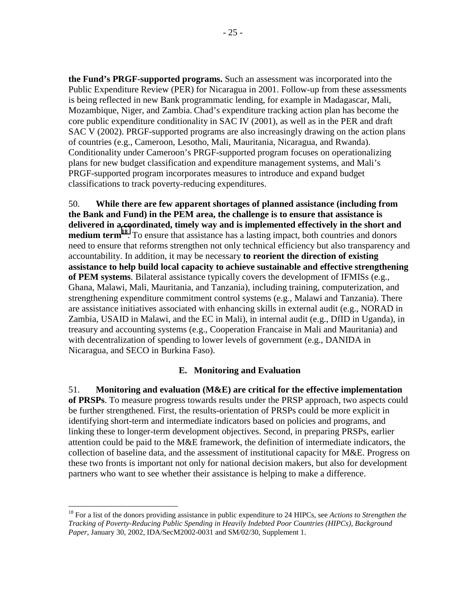<span id="page-25-0"></span>**the Fund's PRGF-supported programs.** Such an assessment was incorporated into the Public Expenditure Review (PER) for Nicaragua in 2001. Follow-up from these assessments is being reflected in new Bank programmatic lending, for example in Madagascar, Mali, Mozambique, Niger, and Zambia. Chad's expenditure tracking action plan has become the core public expenditure conditionality in SAC IV (2001), as well as in the PER and draft SAC V (2002). PRGF-supported programs are also increasingly drawing on the action plans of countries (e.g., Cameroon, Lesotho, Mali, Mauritania, Nicaragua, and Rwanda). Conditionality under Cameroon's PRGF-supported program focuses on operationalizing plans for new budget classification and expenditure management systems, and Mali's PRGF-supported program incorporates measures to introduce and expand budget classifications to track poverty-reducing expenditures.

50. **While there are few apparent shortages of planned assistance (including from the Bank and Fund) in the PEM area, the challenge is to ensure that assistance is delivered in a coordinated, timely way and is implemented effectively in the short and**  medium term<sup>18</sup>. To ensure that assistance has a lasting impact, both countries and donors need to ensure that reforms strengthen not only technical efficiency but also transparency and accountability. In addition, it may be necessary **to reorient the direction of existing assistance to help build local capacity to achieve sustainable and effective strengthening of PEM systems**. Bilateral assistance typically covers the development of IFMISs (e.g., Ghana, Malawi, Mali, Mauritania, and Tanzania), including training, computerization, and strengthening expenditure commitment control systems (e.g., Malawi and Tanzania). There are assistance initiatives associated with enhancing skills in external audit (e.g., NORAD in Zambia, USAID in Malawi, and the EC in Mali), in internal audit (e.g., DfID in Uganda), in treasury and accounting systems (e.g., Cooperation Francaise in Mali and Mauritania) and with decentralization of spending to lower levels of government (e.g., DANIDA in Nicaragua, and SECO in Burkina Faso).

### **E. Monitoring and Evaluation**

51. **Monitoring and evaluation (M&E) are critical for the effective implementation of PRSPs**. To measure progress towards results under the PRSP approach, two aspects could be further strengthened. First, the results-orientation of PRSPs could be more explicit in identifying short-term and intermediate indicators based on policies and programs, and linking these to longer-term development objectives. Second, in preparing PRSPs, earlier attention could be paid to the M&E framework, the definition of intermediate indicators, the collection of baseline data, and the assessment of institutional capacity for M&E. Progress on these two fronts is important not only for national decision makers, but also for development partners who want to see whether their assistance is helping to make a difference.

<sup>18</sup> For a list of the donors providing assistance in public expenditure to 24 HIPCs, see *Actions to Strengthen the Tracking of Poverty-Reducing Public Spending in Heavily Indebted Poor Countries (HIPCs), Background Paper*, January 30, 2002, IDA/SecM2002-0031 and SM/02/30, Supplement 1.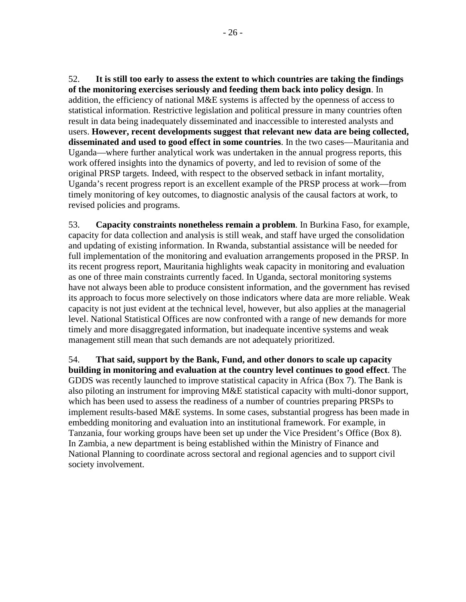52. **It is still too early to assess the extent to which countries are taking the findings of the monitoring exercises seriously and feeding them back into policy design**. In addition, the efficiency of national M&E systems is affected by the openness of access to statistical information. Restrictive legislation and political pressure in many countries often result in data being inadequately disseminated and inaccessible to interested analysts and users. **However, recent developments suggest that relevant new data are being collected, disseminated and used to good effect in some countries**. In the two cases—Mauritania and Uganda—where further analytical work was undertaken in the annual progress reports, this work offered insights into the dynamics of poverty, and led to revision of some of the original PRSP targets. Indeed, with respect to the observed setback in infant mortality, Uganda's recent progress report is an excellent example of the PRSP process at work—from timely monitoring of key outcomes, to diagnostic analysis of the causal factors at work, to revised policies and programs.

53. **Capacity constraints nonetheless remain a problem**. In Burkina Faso, for example, capacity for data collection and analysis is still weak, and staff have urged the consolidation and updating of existing information. In Rwanda, substantial assistance will be needed for full implementation of the monitoring and evaluation arrangements proposed in the PRSP. In its recent progress report, Mauritania highlights weak capacity in monitoring and evaluation as one of three main constraints currently faced. In Uganda, sectoral monitoring systems have not always been able to produce consistent information, and the government has revised its approach to focus more selectively on those indicators where data are more reliable. Weak capacity is not just evident at the technical level, however, but also applies at the managerial level. National Statistical Offices are now confronted with a range of new demands for more timely and more disaggregated information, but inadequate incentive systems and weak management still mean that such demands are not adequately prioritized.

54. **That said, support by the Bank, Fund, and other donors to scale up capacity building in monitoring and evaluation at the country level continues to good effect**. The GDDS was recently launched to improve statistical capacity in Africa (Box 7). The Bank is also piloting an instrument for improving M&E statistical capacity with multi-donor support, which has been used to assess the readiness of a number of countries preparing PRSPs to implement results-based M&E systems. In some cases, substantial progress has been made in embedding monitoring and evaluation into an institutional framework. For example, in Tanzania, four working groups have been set up under the Vice President's Office (Box 8). In Zambia, a new department is being established within the Ministry of Finance and National Planning to coordinate across sectoral and regional agencies and to support civil society involvement.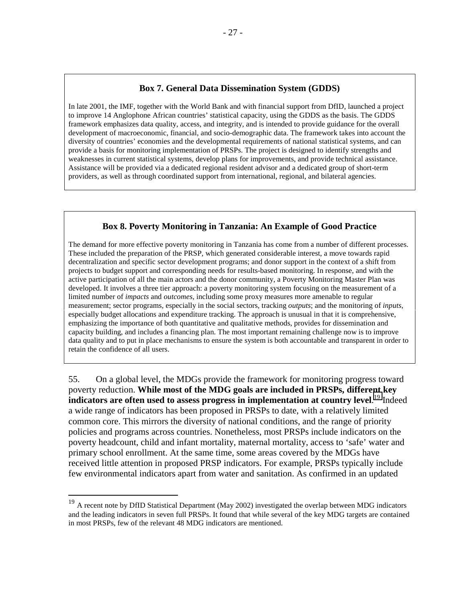#### **Box 7. General Data Dissemination System (GDDS)**

In late 2001, the IMF, together with the World Bank and with financial support from DfID, launched a project to improve 14 Anglophone African countries' statistical capacity, using the GDDS as the basis. The GDDS framework emphasizes data quality, access, and integrity, and is intended to provide guidance for the overall development of macroeconomic, financial, and socio-demographic data. The framework takes into account the diversity of countries' economies and the developmental requirements of national statistical systems, and can provide a basis for monitoring implementation of PRSPs. The project is designed to identify strengths and weaknesses in current statistical systems, develop plans for improvements, and provide technical assistance. Assistance will be provided via a dedicated regional resident advisor and a dedicated group of short-term providers, as well as through coordinated support from international, regional, and bilateral agencies.

#### **Box 8. Poverty Monitoring in Tanzania: An Example of Good Practice**

The demand for more effective poverty monitoring in Tanzania has come from a number of different processes. These included the preparation of the PRSP, which generated considerable interest, a move towards rapid decentralization and specific sector development programs; and donor support in the context of a shift from projects to budget support and corresponding needs for results-based monitoring. In response, and with the active participation of all the main actors and the donor community, a Poverty Monitoring Master Plan was developed. It involves a three tier approach: a poverty monitoring system focusing on the measurement of a limited number of *impacts* and *outcomes*, including some proxy measures more amenable to regular measurement; sector programs, especially in the social sectors, tracking *outputs*; and the monitoring of *inputs*, especially budget allocations and expenditure tracking. The approach is unusual in that it is comprehensive, emphasizing the importance of both quantitative and qualitative methods, provides for dissemination and capacity building, and includes a financing plan. The most important remaining challenge now is to improve data quality and to put in place mechanisms to ensure the system is both accountable and transparent in order to retain the confidence of all users.

55. On a global level, the MDGs provide the framework for monitoring progress toward poverty reduction. **While most of the MDG goals are included in PRSPs, different key indicators are often used to assess progress in implementation at country level**. 19 Indeed a wide range of indicators has been proposed in PRSPs to date, with a relatively limited common core. This mirrors the diversity of national conditions, and the range of priority policies and programs across countries. Nonetheless, most PRSPs include indicators on the poverty headcount, child and infant mortality, maternal mortality, access to 'safe' water and primary school enrollment. At the same time, some areas covered by the MDGs have received little attention in proposed PRSP indicators. For example, PRSPs typically include few environmental indicators apart from water and sanitation. As confirmed in an updated

<u>.</u>

 $19$  A recent note by DfID Statistical Department (May 2002) investigated the overlap between MDG indicators and the leading indicators in seven full PRSPs. It found that while several of the key MDG targets are contained in most PRSPs, few of the relevant 48 MDG indicators are mentioned.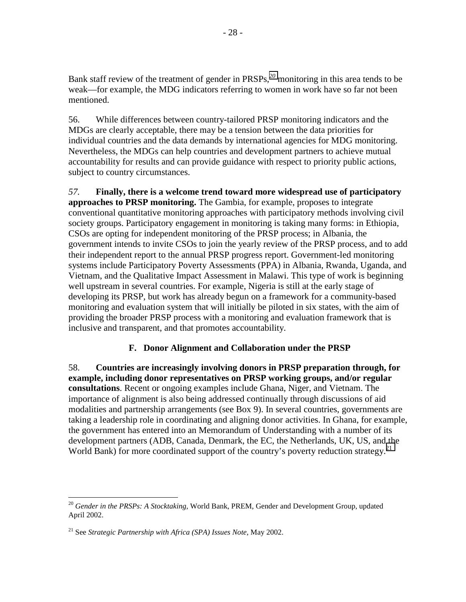<span id="page-28-0"></span>Bank staff review of the treatment of gender in PRSPs,*<sup>20</sup>* monitoring in this area tends to be weak—for example, the MDG indicators referring to women in work have so far not been mentioned.

56. While differences between country-tailored PRSP monitoring indicators and the MDGs are clearly acceptable, there may be a tension between the data priorities for individual countries and the data demands by international agencies for MDG monitoring. Nevertheless, the MDGs can help countries and development partners to achieve mutual accountability for results and can provide guidance with respect to priority public actions, subject to country circumstances.

*57.* **Finally, there is a welcome trend toward more widespread use of participatory approaches to PRSP monitoring.** The Gambia, for example, proposes to integrate conventional quantitative monitoring approaches with participatory methods involving civil society groups. Participatory engagement in monitoring is taking many forms: in Ethiopia, CSOs are opting for independent monitoring of the PRSP process; in Albania, the government intends to invite CSOs to join the yearly review of the PRSP process, and to add their independent report to the annual PRSP progress report. Government-led monitoring systems include Participatory Poverty Assessments (PPA) in Albania, Rwanda, Uganda, and Vietnam, and the Qualitative Impact Assessment in Malawi. This type of work is beginning well upstream in several countries. For example, Nigeria is still at the early stage of developing its PRSP, but work has already begun on a framework for a community-based monitoring and evaluation system that will initially be piloted in six states, with the aim of providing the broader PRSP process with a monitoring and evaluation framework that is inclusive and transparent, and that promotes accountability.

### **F. Donor Alignment and Collaboration under the PRSP**

58. **Countries are increasingly involving donors in PRSP preparation through, for example, including donor representatives on PRSP working groups, and/or regular consultations**. Recent or ongoing examples include Ghana, Niger, and Vietnam. The importance of alignment is also being addressed continually through discussions of aid modalities and partnership arrangements (see Box 9). In several countries, governments are taking a leadership role in coordinating and aligning donor activities. In Ghana, for example, the government has entered into an Memorandum of Understanding with a number of its development partners (ADB, Canada, Denmark, the EC, the Netherlands, UK, US, and the World Bank) for more coordinated support of the country's poverty reduction strategy.<sup>21</sup>

<sup>20</sup> *Gender in the PRSPs: A Stocktaking*, World Bank, PREM, Gender and Development Group, updated April 2002.

<sup>21</sup> See *Strategic Partnership with Africa (SPA) Issues Note*, May 2002.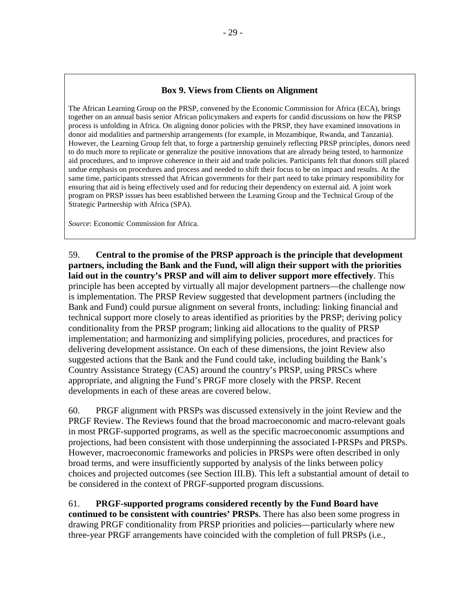### **Box 9. Views from Clients on Alignment**

The African Learning Group on the PRSP, convened by the Economic Commission for Africa (ECA), brings together on an annual basis senior African policymakers and experts for candid discussions on how the PRSP process is unfolding in Africa. On aligning donor policies with the PRSP, they have examined innovations in donor aid modalities and partnership arrangements (for example, in Mozambique, Rwanda, and Tanzania). However, the Learning Group felt that, to forge a partnership genuinely reflecting PRSP principles, donors need to do much more to replicate or generalize the positive innovations that are already being tested, to harmonize aid procedures, and to improve coherence in their aid and trade policies. Participants felt that donors still placed undue emphasis on procedures and process and needed to shift their focus to be on impact and results. At the same time, participants stressed that African governments for their part need to take primary responsibility for ensuring that aid is being effectively used and for reducing their dependency on external aid. A joint work program on PRSP issues has been established between the Learning Group and the Technical Group of the Strategic Partnership with Africa (SPA).

*Source*: Economic Commission for Africa.

59. **Central to the promise of the PRSP approach is the principle that development partners, including the Bank and the Fund, will align their support with the priorities laid out in the country's PRSP and will aim to deliver support more effectively**. This principle has been accepted by virtually all major development partners—the challenge now is implementation. The PRSP Review suggested that development partners (including the Bank and Fund) could pursue alignment on several fronts, including: linking financial and technical support more closely to areas identified as priorities by the PRSP; deriving policy conditionality from the PRSP program; linking aid allocations to the quality of PRSP implementation; and harmonizing and simplifying policies, procedures, and practices for delivering development assistance. On each of these dimensions, the joint Review also suggested actions that the Bank and the Fund could take, including building the Bank's Country Assistance Strategy (CAS) around the country's PRSP, using PRSCs where appropriate, and aligning the Fund's PRGF more closely with the PRSP. Recent developments in each of these areas are covered below.

60. PRGF alignment with PRSPs was discussed extensively in the joint Review and the PRGF Review. The Reviews found that the broad macroeconomic and macro-relevant goals in most PRGF-supported programs, as well as the specific macroeconomic assumptions and projections, had been consistent with those underpinning the associated I-PRSPs and PRSPs. However, macroeconomic frameworks and policies in PRSPs were often described in only broad terms, and were insufficiently supported by analysis of the links between policy choices and projected outcomes (see Section III.B). This left a substantial amount of detail to be considered in the context of PRGF-supported program discussions.

61. **PRGF-supported programs considered recently by the Fund Board have continued to be consistent with countries' PRSPs**. There has also been some progress in drawing PRGF conditionality from PRSP priorities and policies—particularly where new three-year PRGF arrangements have coincided with the completion of full PRSPs (i.e.,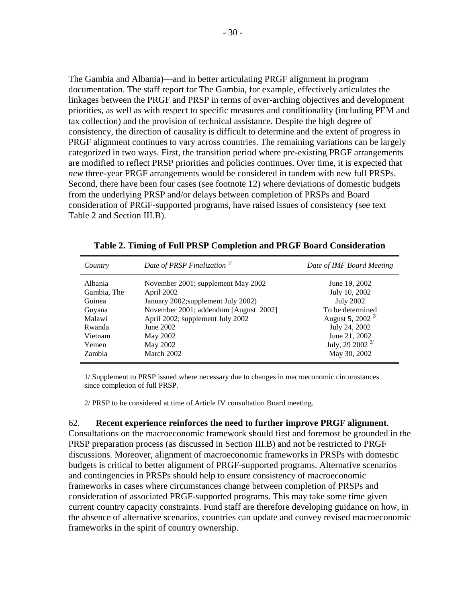The Gambia and Albania)—and in better articulating PRGF alignment in program documentation. The staff report for The Gambia, for example, effectively articulates the linkages between the PRGF and PRSP in terms of over-arching objectives and development priorities, as well as with respect to specific measures and conditionality (including PEM and tax collection) and the provision of technical assistance. Despite the high degree of consistency, the direction of causality is difficult to determine and the extent of progress in PRGF alignment continues to vary across countries. The remaining variations can be largely categorized in two ways. First, the transition period where pre-existing PRGF arrangements are modified to reflect PRSP priorities and policies continues. Over time, it is expected that *new* three-year PRGF arrangements would be considered in tandem with new full PRSPs. Second, there have been four cases (see footnote 12) where deviations of domestic budgets from the underlying PRSP and/or delays between completion of PRSPs and Board consideration of PRGF-supported programs, have raised issues of consistency (see text Table 2 and Section III.B).

| Date of PRSP Finalization <sup>1/</sup><br>Country                                                                                                                                                                                                                                                                     | Date of IMF Board Meeting                                                                                                                                                         |
|------------------------------------------------------------------------------------------------------------------------------------------------------------------------------------------------------------------------------------------------------------------------------------------------------------------------|-----------------------------------------------------------------------------------------------------------------------------------------------------------------------------------|
| Albania<br>November 2001; supplement May 2002<br>April 2002<br>Gambia, The<br>January 2002;supplement July 2002)<br>Guinea<br>November 2001; addendum [August 2002]<br>Guyana<br>April 2002; supplement July 2002<br>Malawi<br>Rwanda<br>June 2002<br>May 2002<br>Vietnam<br>May 2002<br>Yemen<br>March 2002<br>Zambia | June 19, 2002<br>July 10, 2002<br><b>July 2002</b><br>To be determined<br>August 5, 2002 <sup>2/</sup><br>July 24, 2002<br>June 21, 2002<br>July, 29 2002 $^{2/}$<br>May 30, 2002 |

1/ Supplement to PRSP issued where necessary due to changes in macroeconomic circumstances since completion of full PRSP.

2/ PRSP to be considered at time of Article IV consultation Board meeting.

#### 62. **Recent experience reinforces the need to further improve PRGF alignment**.

Consultations on the macroeconomic framework should first and foremost be grounded in the PRSP preparation process (as discussed in Section III.B) and not be restricted to PRGF discussions. Moreover, alignment of macroeconomic frameworks in PRSPs with domestic budgets is critical to better alignment of PRGF-supported programs. Alternative scenarios and contingencies in PRSPs should help to ensure consistency of macroeconomic frameworks in cases where circumstances change between completion of PRSPs and consideration of associated PRGF-supported programs. This may take some time given current country capacity constraints. Fund staff are therefore developing guidance on how, in the absence of alternative scenarios, countries can update and convey revised macroeconomic frameworks in the spirit of country ownership.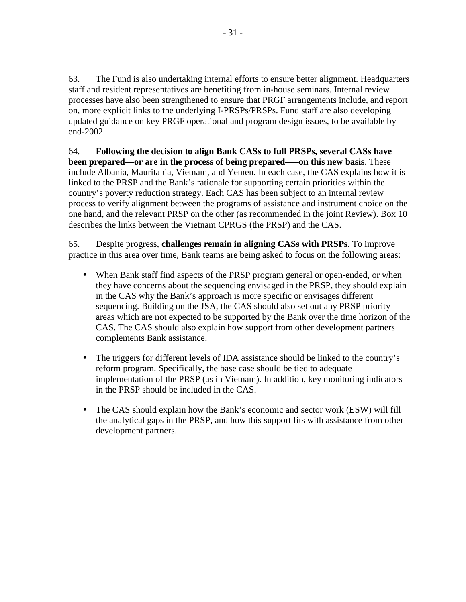63. The Fund is also undertaking internal efforts to ensure better alignment. Headquarters staff and resident representatives are benefiting from in-house seminars. Internal review processes have also been strengthened to ensure that PRGF arrangements include, and report on, more explicit links to the underlying I-PRSPs/PRSPs. Fund staff are also developing updated guidance on key PRGF operational and program design issues, to be available by end-2002.

64. **Following the decision to align Bank CASs to full PRSPs, several CASs have been prepared—or are in the process of being prepared–—on this new basis**. These include Albania, Mauritania, Vietnam, and Yemen. In each case, the CAS explains how it is linked to the PRSP and the Bank's rationale for supporting certain priorities within the country's poverty reduction strategy. Each CAS has been subject to an internal review process to verify alignment between the programs of assistance and instrument choice on the one hand, and the relevant PRSP on the other (as recommended in the joint Review). Box 10 describes the links between the Vietnam CPRGS (the PRSP) and the CAS.

65. Despite progress, **challenges remain in aligning CASs with PRSPs**. To improve practice in this area over time, Bank teams are being asked to focus on the following areas:

- When Bank staff find aspects of the PRSP program general or open-ended, or when they have concerns about the sequencing envisaged in the PRSP, they should explain in the CAS why the Bank's approach is more specific or envisages different sequencing. Building on the JSA, the CAS should also set out any PRSP priority areas which are not expected to be supported by the Bank over the time horizon of the CAS. The CAS should also explain how support from other development partners complements Bank assistance.
- The triggers for different levels of IDA assistance should be linked to the country's reform program. Specifically, the base case should be tied to adequate implementation of the PRSP (as in Vietnam). In addition, key monitoring indicators in the PRSP should be included in the CAS.
- The CAS should explain how the Bank's economic and sector work (ESW) will fill the analytical gaps in the PRSP, and how this support fits with assistance from other development partners.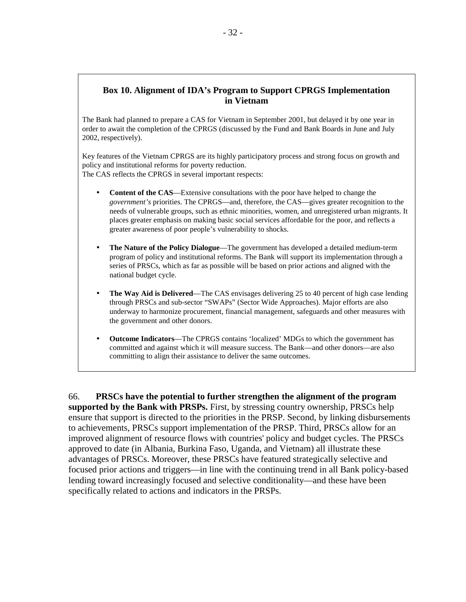### **Box 10. Alignment of IDA's Program to Support CPRGS Implementation in Vietnam**

The Bank had planned to prepare a CAS for Vietnam in September 2001, but delayed it by one year in order to await the completion of the CPRGS (discussed by the Fund and Bank Boards in June and July 2002, respectively).

Key features of the Vietnam CPRGS are its highly participatory process and strong focus on growth and policy and institutional reforms for poverty reduction. The CAS reflects the CPRGS in several important respects:

- **Content of the CAS**—Extensive consultations with the poor have helped to change the *government's* priorities. The CPRGS—and, therefore, the CAS—gives greater recognition to the needs of vulnerable groups, such as ethnic minorities, women, and unregistered urban migrants. It places greater emphasis on making basic social services affordable for the poor, and reflects a greater awareness of poor people's vulnerability to shocks.
- **The Nature of the Policy Dialogue**—The government has developed a detailed medium-term program of policy and institutional reforms. The Bank will support its implementation through a series of PRSCs, which as far as possible will be based on prior actions and aligned with the national budget cycle.
- **The Way Aid is Delivered—The CAS** envisages delivering 25 to 40 percent of high case lending through PRSCs and sub-sector "SWAPs" (Sector Wide Approaches). Major efforts are also underway to harmonize procurement, financial management, safeguards and other measures with the government and other donors.
- **Outcome Indicators**—The CPRGS contains 'localized' MDGs to which the government has committed and against which it will measure success. The Bank—and other donors—are also committing to align their assistance to deliver the same outcomes.

66. **PRSCs have the potential to further strengthen the alignment of the program supported by the Bank with PRSPs.** First, by stressing country ownership, PRSCs help ensure that support is directed to the priorities in the PRSP. Second, by linking disbursements to achievements, PRSCs support implementation of the PRSP. Third, PRSCs allow for an improved alignment of resource flows with countries' policy and budget cycles. The PRSCs approved to date (in Albania, Burkina Faso, Uganda, and Vietnam) all illustrate these advantages of PRSCs. Moreover, these PRSCs have featured strategically selective and focused prior actions and triggers—in line with the continuing trend in all Bank policy-based lending toward increasingly focused and selective conditionality—and these have been specifically related to actions and indicators in the PRSPs.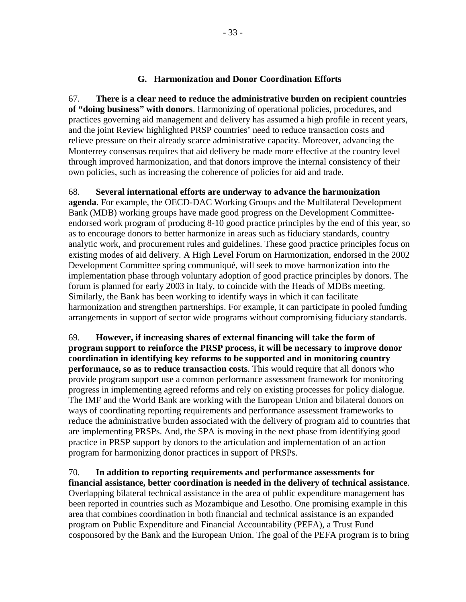#### **G. Harmonization and Donor Coordination Efforts**

<span id="page-33-0"></span>67. **There is a clear need to reduce the administrative burden on recipient countries of "doing business" with donors**. Harmonizing of operational policies, procedures, and practices governing aid management and delivery has assumed a high profile in recent years, and the joint Review highlighted PRSP countries' need to reduce transaction costs and relieve pressure on their already scarce administrative capacity. Moreover, advancing the Monterrey consensus requires that aid delivery be made more effective at the country level through improved harmonization, and that donors improve the internal consistency of their own policies, such as increasing the coherence of policies for aid and trade.

68. **Several international efforts are underway to advance the harmonization agenda**. For example, the OECD-DAC Working Groups and the Multilateral Development Bank (MDB) working groups have made good progress on the Development Committeeendorsed work program of producing 8-10 good practice principles by the end of this year, so as to encourage donors to better harmonize in areas such as fiduciary standards, country analytic work, and procurement rules and guidelines. These good practice principles focus on existing modes of aid delivery. A High Level Forum on Harmonization, endorsed in the 2002 Development Committee spring communiqué, will seek to move harmonization into the implementation phase through voluntary adoption of good practice principles by donors. The forum is planned for early 2003 in Italy, to coincide with the Heads of MDBs meeting. Similarly, the Bank has been working to identify ways in which it can facilitate harmonization and strengthen partnerships. For example, it can participate in pooled funding arrangements in support of sector wide programs without compromising fiduciary standards.

69. **However, if increasing shares of external financing will take the form of program support to reinforce the PRSP process, it will be necessary to improve donor coordination in identifying key reforms to be supported and in monitoring country performance, so as to reduce transaction costs**. This would require that all donors who provide program support use a common performance assessment framework for monitoring progress in implementing agreed reforms and rely on existing processes for policy dialogue. The IMF and the World Bank are working with the European Union and bilateral donors on ways of coordinating reporting requirements and performance assessment frameworks to reduce the administrative burden associated with the delivery of program aid to countries that are implementing PRSPs. And, the SPA is moving in the next phase from identifying good practice in PRSP support by donors to the articulation and implementation of an action program for harmonizing donor practices in support of PRSPs.

70. **In addition to reporting requirements and performance assessments for financial assistance, better coordination is needed in the delivery of technical assistance**. Overlapping bilateral technical assistance in the area of public expenditure management has been reported in countries such as Mozambique and Lesotho. One promising example in this area that combines coordination in both financial and technical assistance is an expanded program on Public Expenditure and Financial Accountability (PEFA), a Trust Fund cosponsored by the Bank and the European Union. The goal of the PEFA program is to bring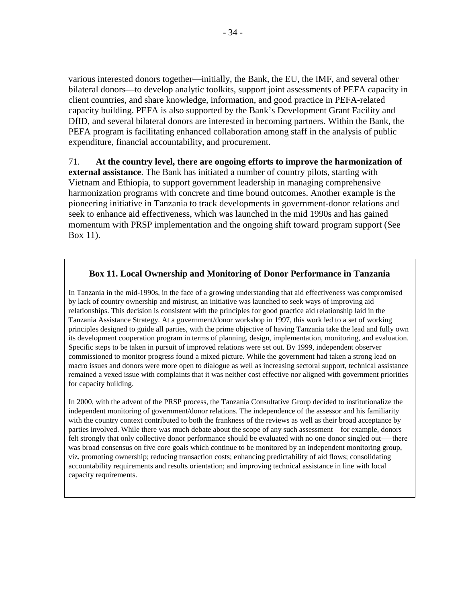various interested donors together—initially, the Bank, the EU, the IMF, and several other bilateral donors—to develop analytic toolkits, support joint assessments of PEFA capacity in client countries, and share knowledge, information, and good practice in PEFA-related capacity building. PEFA is also supported by the Bank's Development Grant Facility and DfID, and several bilateral donors are interested in becoming partners. Within the Bank, the PEFA program is facilitating enhanced collaboration among staff in the analysis of public expenditure, financial accountability, and procurement.

#### 71. **At the country level, there are ongoing efforts to improve the harmonization of**

**external assistance**. The Bank has initiated a number of country pilots, starting with Vietnam and Ethiopia, to support government leadership in managing comprehensive harmonization programs with concrete and time bound outcomes. Another example is the pioneering initiative in Tanzania to track developments in government-donor relations and seek to enhance aid effectiveness, which was launched in the mid 1990s and has gained momentum with PRSP implementation and the ongoing shift toward program support (See Box 11).

### **Box 11. Local Ownership and Monitoring of Donor Performance in Tanzania**

In Tanzania in the mid-1990s, in the face of a growing understanding that aid effectiveness was compromised by lack of country ownership and mistrust, an initiative was launched to seek ways of improving aid relationships. This decision is consistent with the principles for good practice aid relationship laid in the Tanzania Assistance Strategy. At a government/donor workshop in 1997, this work led to a set of working principles designed to guide all parties, with the prime objective of having Tanzania take the lead and fully own its development cooperation program in terms of planning, design, implementation, monitoring, and evaluation. Specific steps to be taken in pursuit of improved relations were set out. By 1999, independent observer commissioned to monitor progress found a mixed picture. While the government had taken a strong lead on macro issues and donors were more open to dialogue as well as increasing sectoral support, technical assistance remained a vexed issue with complaints that it was neither cost effective nor aligned with government priorities for capacity building.

In 2000, with the advent of the PRSP process, the Tanzania Consultative Group decided to institutionalize the independent monitoring of government/donor relations. The independence of the assessor and his familiarity with the country context contributed to both the frankness of the reviews as well as their broad acceptance by parties involved. While there was much debate about the scope of any such assessment—for example, donors felt strongly that only collective donor performance should be evaluated with no one donor singled out–—there was broad consensus on five core goals which continue to be monitored by an independent monitoring group, viz. promoting ownership; reducing transaction costs; enhancing predictability of aid flows; consolidating accountability requirements and results orientation; and improving technical assistance in line with local capacity requirements.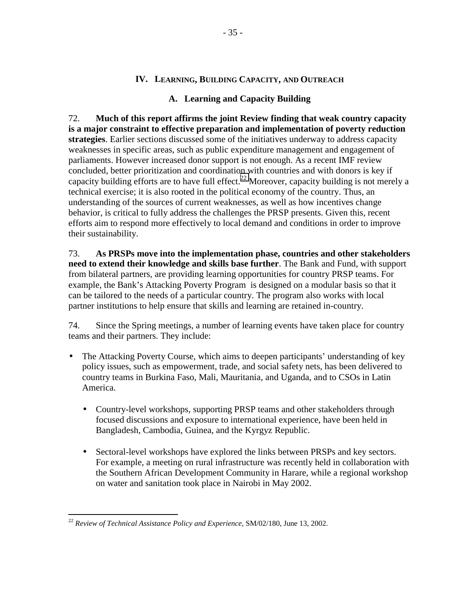### **IV. LEARNING, BUILDING CAPACITY, AND OUTREACH**

### **A. Learning and Capacity Building**

<span id="page-35-0"></span>72. **Much of this report affirms the joint Review finding that weak country capacity is a major constraint to effective preparation and implementation of poverty reduction strategies**. Earlier sections discussed some of the initiatives underway to address capacity weaknesses in specific areas, such as public expenditure management and engagement of parliaments. However increased donor support is not enough. As a recent IMF review concluded, better prioritization and coordination with countries and with donors is key if capacity building efforts are to have full effect.<sup>22</sup> Moreover, capacity building is not merely a technical exercise; it is also rooted in the political economy of the country. Thus, an understanding of the sources of current weaknesses, as well as how incentives change behavior, is critical to fully address the challenges the PRSP presents. Given this, recent efforts aim to respond more effectively to local demand and conditions in order to improve their sustainability.

73. **As PRSPs move into the implementation phase, countries and other stakeholders need to extend their knowledge and skills base further**. The Bank and Fund, with support from bilateral partners, are providing learning opportunities for country PRSP teams. For example, the Bank's Attacking Poverty Program is designed on a modular basis so that it can be tailored to the needs of a particular country. The program also works with local partner institutions to help ensure that skills and learning are retained in-country.

74. Since the Spring meetings, a number of learning events have taken place for country teams and their partners. They include:

- The Attacking Poverty Course, which aims to deepen participants' understanding of key policy issues, such as empowerment, trade, and social safety nets, has been delivered to country teams in Burkina Faso, Mali, Mauritania, and Uganda, and to CSOs in Latin America.
	- Country-level workshops, supporting PRSP teams and other stakeholders through focused discussions and exposure to international experience, have been held in Bangladesh, Cambodia, Guinea, and the Kyrgyz Republic.
	- Sectoral-level workshops have explored the links between PRSPs and key sectors. For example, a meeting on rural infrastructure was recently held in collaboration with the Southern African Development Community in Harare, while a regional workshop on water and sanitation took place in Nairobi in May 2002.

<sup>22</sup> *Review of Technical Assistance Policy and Experience*, SM/02/180, June 13, 2002.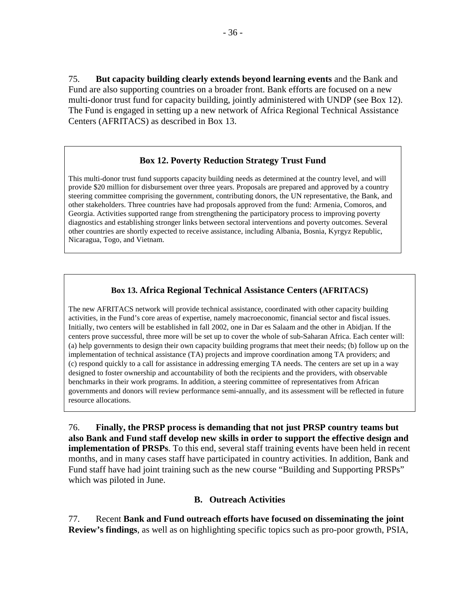<span id="page-36-0"></span>75. **But capacity building clearly extends beyond learning events** and the Bank and Fund are also supporting countries on a broader front. Bank efforts are focused on a new multi-donor trust fund for capacity building, jointly administered with UNDP (see Box 12). The Fund is engaged in setting up a new network of Africa Regional Technical Assistance Centers (AFRITACS) as described in Box 13.

### **Box 12. Poverty Reduction Strategy Trust Fund**

This multi-donor trust fund supports capacity building needs as determined at the country level, and will provide \$20 million for disbursement over three years. Proposals are prepared and approved by a country steering committee comprising the government, contributing donors, the UN representative, the Bank, and other stakeholders. Three countries have had proposals approved from the fund: Armenia, Comoros, and Georgia. Activities supported range from strengthening the participatory process to improving poverty diagnostics and establishing stronger links between sectoral interventions and poverty outcomes. Several other countries are shortly expected to receive assistance, including Albania, Bosnia, Kyrgyz Republic, Nicaragua, Togo, and Vietnam.

### **Box 13. Africa Regional Technical Assistance Centers (AFRITACS)**

The new AFRITACS network will provide technical assistance, coordinated with other capacity building activities, in the Fund's core areas of expertise, namely macroeconomic, financial sector and fiscal issues. Initially, two centers will be established in fall 2002, one in Dar es Salaam and the other in Abidjan. If the centers prove successful, three more will be set up to cover the whole of sub-Saharan Africa. Each center will: (a) help governments to design their own capacity building programs that meet their needs; (b) follow up on the implementation of technical assistance (TA) projects and improve coordination among TA providers; and (c) respond quickly to a call for assistance in addressing emerging TA needs. The centers are set up in a way designed to foster ownership and accountability of both the recipients and the providers, with observable benchmarks in their work programs. In addition, a steering committee of representatives from African governments and donors will review performance semi-annually, and its assessment will be reflected in future resource allocations.

76. **Finally, the PRSP process is demanding that not just PRSP country teams but also Bank and Fund staff develop new skills in order to support the effective design and implementation of PRSPs**. To this end, several staff training events have been held in recent months, and in many cases staff have participated in country activities. In addition, Bank and Fund staff have had joint training such as the new course "Building and Supporting PRSPs" which was piloted in June.

#### **B. Outreach Activities**

77. Recent **Bank and Fund outreach efforts have focused on disseminating the joint Review's findings**, as well as on highlighting specific topics such as pro-poor growth, PSIA,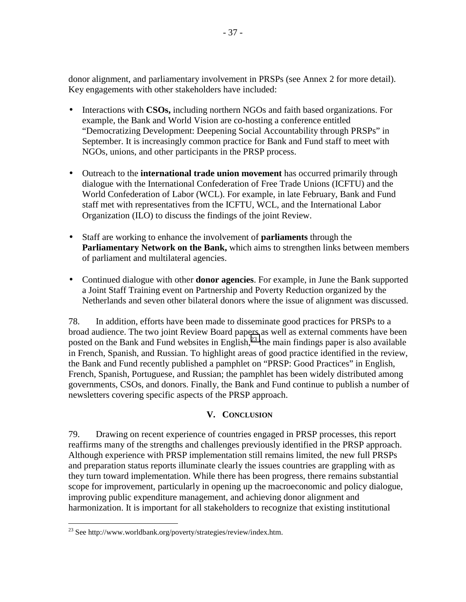<span id="page-37-0"></span>donor alignment, and parliamentary involvement in PRSPs (see Annex 2 for more detail). Key engagements with other stakeholders have included:

- Interactions with **CSOs,** including northern NGOs and faith based organizations. For example, the Bank and World Vision are co-hosting a conference entitled "Democratizing Development: Deepening Social Accountability through PRSPs" in September. It is increasingly common practice for Bank and Fund staff to meet with NGOs, unions, and other participants in the PRSP process.
- Outreach to the **international trade union movement** has occurred primarily through dialogue with the International Confederation of Free Trade Unions (ICFTU) and the World Confederation of Labor (WCL). For example, in late February, Bank and Fund staff met with representatives from the ICFTU, WCL, and the International Labor Organization (ILO) to discuss the findings of the joint Review.
- Staff are working to enhance the involvement of **parliaments** through the **Parliamentary Network on the Bank,** which aims to strengthen links between members of parliament and multilateral agencies.
- Continued dialogue with other **donor agencies**. For example, in June the Bank supported a Joint Staff Training event on Partnership and Poverty Reduction organized by the Netherlands and seven other bilateral donors where the issue of alignment was discussed.

78. In addition, efforts have been made to disseminate good practices for PRSPs to a broad audience. The two joint Review Board papers as well as external comments have been posted on the Bank and Fund websites in English,  $^{23}$  the main findings paper is also available in French, Spanish, and Russian. To highlight areas of good practice identified in the review, the Bank and Fund recently published a pamphlet on "PRSP: Good Practices" in English, French, Spanish, Portuguese, and Russian; the pamphlet has been widely distributed among governments, CSOs, and donors. Finally, the Bank and Fund continue to publish a number of newsletters covering specific aspects of the PRSP approach.

### **V. CONCLUSION**

79. Drawing on recent experience of countries engaged in PRSP processes, this report reaffirms many of the strengths and challenges previously identified in the PRSP approach. Although experience with PRSP implementation still remains limited, the new full PRSPs and preparation status reports illuminate clearly the issues countries are grappling with as they turn toward implementation. While there has been progress, there remains substantial scope for improvement, particularly in opening up the macroeconomic and policy dialogue, improving public expenditure management, and achieving donor alignment and harmonization. It is important for all stakeholders to recognize that existing institutional

 $^{23}$  See http://www.worldbank.org/poverty/strategies/review/index.htm.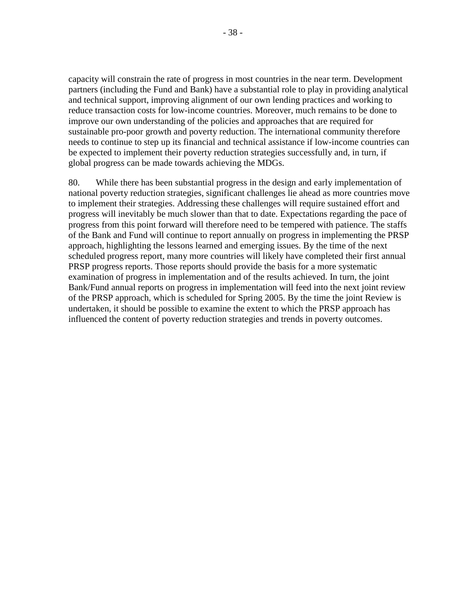capacity will constrain the rate of progress in most countries in the near term. Development partners (including the Fund and Bank) have a substantial role to play in providing analytical and technical support, improving alignment of our own lending practices and working to reduce transaction costs for low-income countries. Moreover, much remains to be done to improve our own understanding of the policies and approaches that are required for sustainable pro-poor growth and poverty reduction. The international community therefore needs to continue to step up its financial and technical assistance if low-income countries can be expected to implement their poverty reduction strategies successfully and, in turn, if global progress can be made towards achieving the MDGs.

80. While there has been substantial progress in the design and early implementation of national poverty reduction strategies, significant challenges lie ahead as more countries move to implement their strategies. Addressing these challenges will require sustained effort and progress will inevitably be much slower than that to date. Expectations regarding the pace of progress from this point forward will therefore need to be tempered with patience. The staffs of the Bank and Fund will continue to report annually on progress in implementing the PRSP approach, highlighting the lessons learned and emerging issues. By the time of the next scheduled progress report, many more countries will likely have completed their first annual PRSP progress reports. Those reports should provide the basis for a more systematic examination of progress in implementation and of the results achieved. In turn, the joint Bank/Fund annual reports on progress in implementation will feed into the next joint review of the PRSP approach, which is scheduled for Spring 2005. By the time the joint Review is undertaken, it should be possible to examine the extent to which the PRSP approach has influenced the content of poverty reduction strategies and trends in poverty outcomes.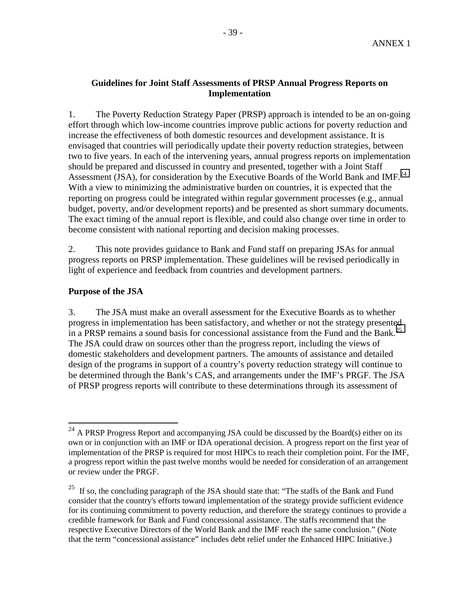### **Guidelines for Joint Staff Assessments of PRSP Annual Progress Reports on Implementation**

1. The Poverty Reduction Strategy Paper (PRSP) approach is intended to be an on-going effort through which low-income countries improve public actions for poverty reduction and increase the effectiveness of both domestic resources and development assistance. It is envisaged that countries will periodically update their poverty reduction strategies, between two to five years. In each of the intervening years, annual progress reports on implementation should be prepared and discussed in country and presented, together with a Joint Staff Assessment (JSA), for consideration by the Executive Boards of the World Bank and IMF.<sup>24</sup> With a view to minimizing the administrative burden on countries, it is expected that the reporting on progress could be integrated within regular government processes (e.g., annual budget, poverty, and/or development reports) and be presented as short summary documents. The exact timing of the annual report is flexible, and could also change over time in order to become consistent with national reporting and decision making processes.

2. This note provides guidance to Bank and Fund staff on preparing JSAs for annual progress reports on PRSP implementation. These guidelines will be revised periodically in light of experience and feedback from countries and development partners.

### **Purpose of the JSA**

1

3. The JSA must make an overall assessment for the Executive Boards as to whether progress in implementation has been satisfactory, and whether or not the strategy presented in a PRSP remains a sound basis for concessional assistance from the Fund and the Bank.<sup>25</sup> The JSA could draw on sources other than the progress report, including the views of domestic stakeholders and development partners. The amounts of assistance and detailed design of the programs in support of a country's poverty reduction strategy will continue to be determined through the Bank's CAS, and arrangements under the IMF's PRGF. The JSA of PRSP progress reports will contribute to these determinations through its assessment of

 $^{24}$  A PRSP Progress Report and accompanying JSA could be discussed by the Board(s) either on its own or in conjunction with an IMF or IDA operational decision. A progress report on the first year of implementation of the PRSP is required for most HIPCs to reach their completion point. For the IMF, a progress report within the past twelve months would be needed for consideration of an arrangement or review under the PRGF.

<sup>&</sup>lt;sup>25</sup> If so, the concluding paragraph of the JSA should state that: "The staffs of the Bank and Fund consider that the country's efforts toward implementation of the strategy provide sufficient evidence for its continuing commitment to poverty reduction, and therefore the strategy continues to provide a credible framework for Bank and Fund concessional assistance. The staffs recommend that the respective Executive Directors of the World Bank and the IMF reach the same conclusion." (Note that the term "concessional assistance" includes debt relief under the Enhanced HIPC Initiative.)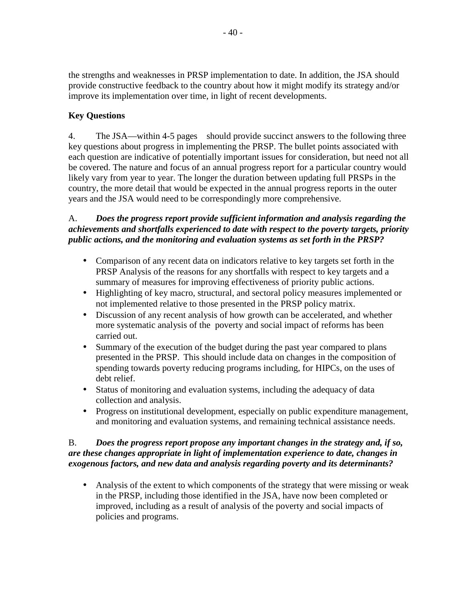the strengths and weaknesses in PRSP implementation to date. In addition, the JSA should provide constructive feedback to the country about how it might modify its strategy and/or improve its implementation over time, in light of recent developments.

## **Key Questions**

4. The JSA—within 4-5 pages—should provide succinct answers to the following three key questions about progress in implementing the PRSP. The bullet points associated with each question are indicative of potentially important issues for consideration, but need not all be covered. The nature and focus of an annual progress report for a particular country would likely vary from year to year. The longer the duration between updating full PRSPs in the country, the more detail that would be expected in the annual progress reports in the outer years and the JSA would need to be correspondingly more comprehensive.

### A. *Does the progress report provide sufficient information and analysis regarding the achievements and shortfalls experienced to date with respect to the poverty targets, priority public actions, and the monitoring and evaluation systems as set forth in the PRSP?*

- Comparison of any recent data on indicators relative to key targets set forth in the PRSP Analysis of the reasons for any shortfalls with respect to key targets and a summary of measures for improving effectiveness of priority public actions.
- Highlighting of key macro, structural, and sectoral policy measures implemented or not implemented relative to those presented in the PRSP policy matrix.
- Discussion of any recent analysis of how growth can be accelerated, and whether more systematic analysis of the poverty and social impact of reforms has been carried out.
- Summary of the execution of the budget during the past year compared to plans presented in the PRSP. This should include data on changes in the composition of spending towards poverty reducing programs including, for HIPCs, on the uses of debt relief.
- Status of monitoring and evaluation systems, including the adequacy of data collection and analysis.
- Progress on institutional development, especially on public expenditure management, and monitoring and evaluation systems, and remaining technical assistance needs.

### B. *Does the progress report propose any important changes in the strategy and, if so, are these changes appropriate in light of implementation experience to date, changes in exogenous factors, and new data and analysis regarding poverty and its determinants?*

• Analysis of the extent to which components of the strategy that were missing or weak in the PRSP, including those identified in the JSA, have now been completed or improved, including as a result of analysis of the poverty and social impacts of policies and programs.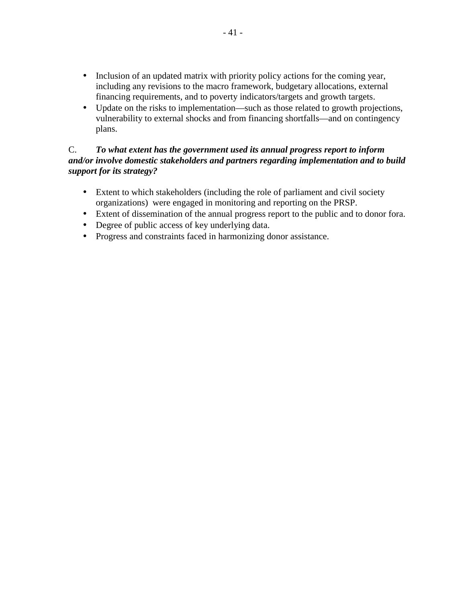- Inclusion of an updated matrix with priority policy actions for the coming year, including any revisions to the macro framework, budgetary allocations, external financing requirements, and to poverty indicators/targets and growth targets.
- Update on the risks to implementation—such as those related to growth projections, vulnerability to external shocks and from financing shortfalls—and on contingency plans.

### C. *To what extent has the government used its annual progress report to inform and/or involve domestic stakeholders and partners regarding implementation and to build support for its strategy?*

- Extent to which stakeholders (including the role of parliament and civil society organizations) were engaged in monitoring and reporting on the PRSP.
- Extent of dissemination of the annual progress report to the public and to donor fora.
- Degree of public access of key underlying data.
- Progress and constraints faced in harmonizing donor assistance.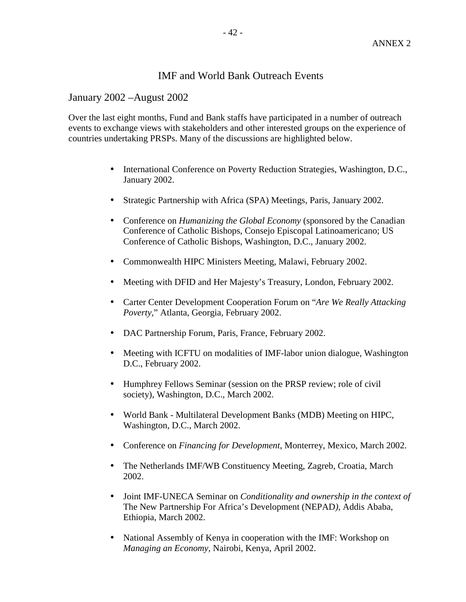### IMF and World Bank Outreach Events

January 2002 –August 2002

Over the last eight months, Fund and Bank staffs have participated in a number of outreach events to exchange views with stakeholders and other interested groups on the experience of countries undertaking PRSPs. Many of the discussions are highlighted below.

- International Conference on Poverty Reduction Strategies, Washington, D.C., January 2002.
- Strategic Partnership with Africa (SPA) Meetings, Paris, January 2002.
- Conference on *Humanizing the Global Economy* (sponsored by the Canadian Conference of Catholic Bishops, Consejo Episcopal Latinoamericano; US Conference of Catholic Bishops, Washington, D.C., January 2002.
- Commonwealth HIPC Ministers Meeting, Malawi, February 2002.
- Meeting with DFID and Her Majesty's Treasury, London, February 2002.
- Carter Center Development Cooperation Forum on "*Are We Really Attacking Poverty,*" Atlanta, Georgia, February 2002.
- DAC Partnership Forum, Paris, France, February 2002.
- Meeting with ICFTU on modalities of IMF-labor union dialogue, Washington D.C., February 2002.
- Humphrey Fellows Seminar (session on the PRSP review; role of civil society), Washington, D.C., March 2002.
- World Bank Multilateral Development Banks (MDB) Meeting on HIPC, Washington, D.C., March 2002.
- Conference on *Financing for Development*, Monterrey, Mexico, March 2002.
- The Netherlands IMF/WB Constituency Meeting, Zagreb, Croatia, March 2002.
- Joint IMF-UNECA Seminar on *Conditionality and ownership in the context of*  The New Partnership For Africa's Development (NEPAD*)*, Addis Ababa, Ethiopia, March 2002.
- National Assembly of Kenya in cooperation with the IMF: Workshop on *Managing an Economy,* Nairobi, Kenya, April 2002.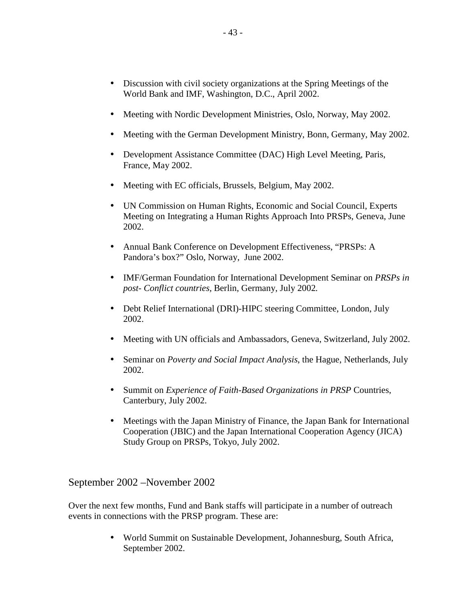- Discussion with civil society organizations at the Spring Meetings of the World Bank and IMF, Washington, D.C., April 2002.
- Meeting with Nordic Development Ministries, Oslo, Norway, May 2002.
- Meeting with the German Development Ministry, Bonn, Germany, May 2002.
- Development Assistance Committee (DAC) High Level Meeting, Paris, France, May 2002.
- Meeting with EC officials, Brussels, Belgium, May 2002.
- UN Commission on Human Rights, Economic and Social Council, Experts Meeting on Integrating a Human Rights Approach Into PRSPs, Geneva, June 2002.
- Annual Bank Conference on Development Effectiveness, "PRSPs: A Pandora's box?" Oslo, Norway, June 2002.
- IMF/German Foundation for International Development Seminar on *PRSPs in post- Conflict countries,* Berlin, Germany, July 2002*.*
- Debt Relief International (DRI)-HIPC steering Committee, London, July 2002.
- Meeting with UN officials and Ambassadors, Geneva, Switzerland, July 2002.
- Seminar on *Poverty and Social Impact Analysis*, the Hague, Netherlands, July 2002.
- Summit on *Experience of Faith-Based Organizations in PRSP* Countries, Canterbury, July 2002.
- Meetings with the Japan Ministry of Finance, the Japan Bank for International Cooperation (JBIC) and the Japan International Cooperation Agency (JICA) Study Group on PRSPs, Tokyo, July 2002.

September 2002 –November 2002

Over the next few months, Fund and Bank staffs will participate in a number of outreach events in connections with the PRSP program. These are:

> • World Summit on Sustainable Development, Johannesburg, South Africa, September 2002.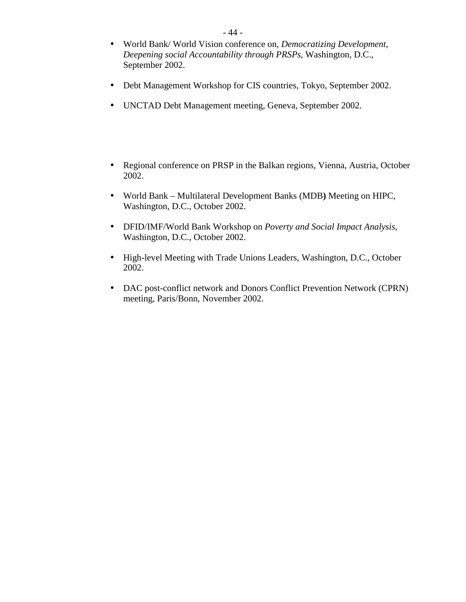- World Bank/ World Vision conference on, *Democratizing Development, Deepening social Accountability through PRSPs*, Washington, D.C., September 2002.
- Debt Management Workshop for CIS countries, Tokyo, September 2002.
- UNCTAD Debt Management meeting, Geneva, September 2002.
- Regional conference on PRSP in the Balkan regions, Vienna, Austria, October 2002.
- World Bank Multilateral Development Banks (MDB**)** Meeting on HIPC, Washington, D.C., October 2002.
- DFID/IMF/World Bank Workshop on *Poverty and Social Impact Analysis*, Washington, D.C., October 2002.
- High-level Meeting with Trade Unions Leaders, Washington, D.C., October 2002.
- DAC post-conflict network and Donors Conflict Prevention Network (CPRN) meeting, Paris/Bonn, November 2002.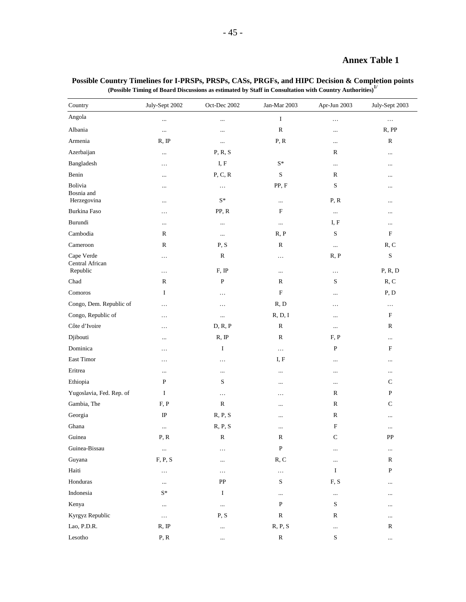### **Annex Table 1**

| Country                       | July-Sept 2002 | Oct-Dec 2002   | Jan-Mar 2003              | Apr-Jun 2003  | July-Sept 2003 |
|-------------------------------|----------------|----------------|---------------------------|---------------|----------------|
| Angola                        |                | $\cdots$       | I                         | $\cdots$      | $\cdots$       |
| Albania                       | $\ldots$       | $\cdots$       | ${\bf R}$                 | $\cdots$      | R, PP          |
| Armenia                       | R, IP          | $\cdots$       | P, R                      | $\ldots$      | $\mathbb{R}$   |
| Azerbaijan                    |                | P, R, S        |                           | R             | $\ldots$       |
| Bangladesh                    | $\cdots$       | I, F           | $\mathbf{S}^*$            | $\cdots$      | $\ldots$       |
| Benin                         | $\ddotsc$      | P, C, R        | ${\bf S}$                 | $\mathbb R$   | $\cdots$       |
| Bolivia<br>Bosnia and         | $\cdots$       | $\cdots$       | PP, F                     | S             | $\cdots$       |
| Herzegovina                   |                | $\mathbf{S}^*$ |                           | P, R          | $\cdots$       |
| Burkina Faso                  | .              | PP, R          | $\boldsymbol{\mathrm{F}}$ | $\ldots$      | $\cdots$       |
| Burundi                       |                | $\cdots$       | $\ldots$                  | I, F          | $\cdots$       |
| Cambodia                      | R              | $\ldots$       | R, P                      | S             | $\mathbf F$    |
| Cameroon                      | ${\bf R}$      | P, S           | ${\bf R}$                 | $\ldots$      | R, C           |
| Cape Verde<br>Central African | $\ldots$       | ${\bf R}$      | $\ldots$                  | R, P          | ${\bf S}$      |
| Republic                      | $\cdots$       | F, IP          | $\cdots$                  | $\ldots$      | P, R, D        |
| Chad                          | R              | $\, {\bf P}$   | R                         | S             | R, C           |
| Comoros                       | I              | $\ldots$       | $\mathbf F$               | $\cdots$      | P, D           |
| Congo, Dem. Republic of       | $\ldots$       | $\ldots$       | R, D                      | $\cdots$      | $\ldots$       |
| Congo, Republic of            | $\cdots$       | $\cdots$       | R, D, I                   | $\ldots$      | $\mathbf F$    |
| Côte d'Ivoire                 | $\cdots$       | D, R, P        | R                         | $\ldots$      | R              |
| Djibouti                      |                | R, IP          | ${\bf R}$                 | F, P          | $\cdots$       |
| Dominica                      | $\cdots$       | I              | $\ldots$                  | ${\bf P}$     | $\mathbf F$    |
| East Timor                    | $\cdots$       | $\ddotsc$      | I, F                      | $\cdots$      | $\ldots$       |
| Eritrea                       |                | $\cdots$       | $\cdots$                  | $\cdots$      | $\cdots$       |
| Ethiopia                      | $\mathbf P$    | S              |                           | $\ldots$      | $\mathbf C$    |
| Yugoslavia, Fed. Rep. of      | I              | $\ldots$       | $\cdots$                  | R             | $\, {\bf P}$   |
| Gambia, The                   | F, P           | $\mathbb{R}$   |                           | ${\bf R}$     | $\mathbf C$    |
| Georgia                       | $_{\rm IP}$    | R, P, S        |                           | $\mathbb R$   | $\ldots$       |
| Ghana                         | $\ldots$       | R, P, S        | $\ddotsc$                 | F             | $\ddotsc$      |
| Guinea                        | P, R           | ${\bf R}$      | R                         | $\mathbf C$   | PP             |
| Guinea-Bissau                 | $\ldots$       | $\cdots$       | ${\bf P}$                 | $\cdots$      | $\ldots$       |
| Guyana                        | F, P, S        | $\cdots$       | R, C                      | $\cdots$      | $\mathbb R$    |
| Haiti                         | $\cdots$       | $\cdots$       | $\ldots$                  | I             | $\, {\bf P}$   |
| Honduras                      | $\cdots$       | PP             | ${\bf S}$                 | ${\rm F,\,S}$ | $\ldots$       |
| Indonesia                     | $S^*$          | I              |                           | $\cdots$      | $\cdots$       |
| Kenya                         | $\cdots$       | $\ldots$       | $\, {\bf P}$              | S             | $\ddots$       |
| Kyrgyz Republic               | $\ldots$       | P, S           | ${\mathbb R}$             | $\mathbb R$   | $\cdots$       |
| Lao, P.D.R.                   | R, IP          | $\ldots$       | R, P, S                   | $\ldots$      | $\mathbb{R}$   |
| Lesotho                       | P, R           | $\cdots$       | ${\bf R}$                 | S             | $\cdots$       |

#### **Possible Country Timelines for I-PRSPs, PRSPs, CASs, PRGFs, and HIPC Decision & Completion points (Possible Timing of Board Discussions as estimated by Staff in Consultation with Country Authorities)1/**